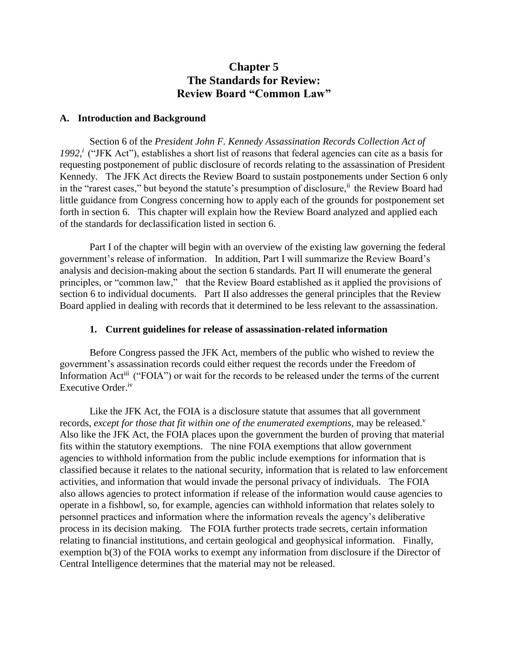# **Chapter 5 The Standards for Review: Review Board "Common Law"**

# **A. Introduction and Background**

Section 6 of the *President John F. Kennedy Assassination Records Collection Act of*  1992,<sup>*i*</sup> ("JFK Act"), establishes a short list of reasons that federal agencies can cite as a basis for requesting postponement of public disclosure of records relating to the assassination of President Kennedy. The JFK Act directs the Review Board to sustain postponements under Section 6 only in the "rarest cases," but beyond the statute's presumption of disclosure,<sup>ii</sup> the Review Board had little guidance from Congress concerning how to apply each of the grounds for postponement set forth in section 6. This chapter will explain how the Review Board analyzed and applied each of the standards for declassification listed in section 6.

Part I of the chapter will begin with an overview of the existing law governing the federal government's release of information. In addition, Part I will summarize the Review Board's analysis and decision-making about the section 6 standards. Part II will enumerate the general principles, or "common law," that the Review Board established as it applied the provisions of section 6 to individual documents. Part II also addresses the general principles that the Review Board applied in dealing with records that it determined to be less relevant to the assassination.

# **1. Current guidelines for release of assassination-related information**

Before Congress passed the JFK Act, members of the public who wished to review the government's assassination records could either request the records under the Freedom of Information Act<sup>iii</sup> ("FOIA") or wait for the records to be released under the terms of the current Executive Order.<sup>iv</sup>

Like the JFK Act, the FOIA is a disclosure statute that assumes that all government records, *except for those that fit within one of the enumerated exemptions*, may be released.<sup>v</sup> Also like the JFK Act, the FOIA places upon the government the burden of proving that material fits within the statutory exemptions. The nine FOIA exemptions that allow government agencies to withhold information from the public include exemptions for information that is classified because it relates to the national security, information that is related to law enforcement activities, and information that would invade the personal privacy of individuals. The FOIA also allows agencies to protect information if release of the information would cause agencies to operate in a fishbowl, so, for example, agencies can withhold information that relates solely to personnel practices and information where the information reveals the agency's deliberative process in its decision making. The FOIA further protects trade secrets, certain information relating to financial institutions, and certain geological and geophysical information. Finally, exemption b(3) of the FOIA works to exempt any information from disclosure if the Director of Central Intelligence determines that the material may not be released.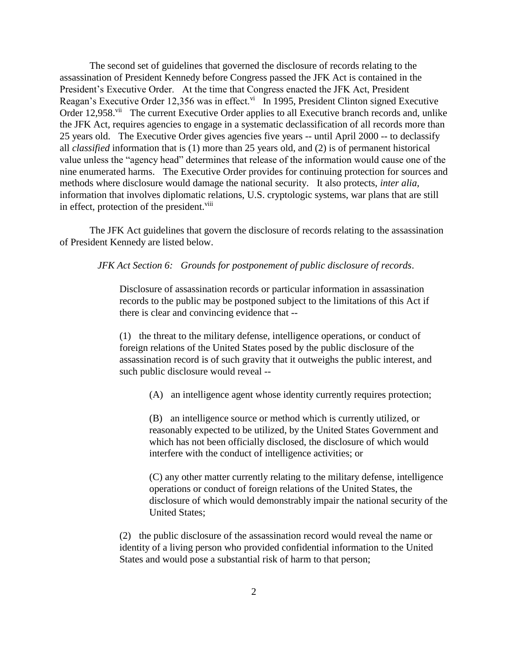The second set of guidelines that governed the disclosure of records relating to the assassination of President Kennedy before Congress passed the JFK Act is contained in the President's Executive Order. At the time that Congress enacted the JFK Act, President Reagan's Executive Order 12,356 was in effect. $\frac{vi}{n}$  In 1995, President Clinton signed Executive Order 12,958.<sup>vii</sup> The current Executive Order applies to all Executive branch records and, unlike the JFK Act, requires agencies to engage in a systematic declassification of all records more than 25 years old. The Executive Order gives agencies five years -- until April 2000 -- to declassify all *classified* information that is (1) more than 25 years old, and (2) is of permanent historical value unless the "agency head" determines that release of the information would cause one of the nine enumerated harms. The Executive Order provides for continuing protection for sources and methods where disclosure would damage the national security. It also protects, *inter alia,* information that involves diplomatic relations, U.S. cryptologic systems, war plans that are still in effect, protection of the president.<sup>viii</sup>

The JFK Act guidelines that govern the disclosure of records relating to the assassination of President Kennedy are listed below.

*JFK Act Section 6: Grounds for postponement of public disclosure of records*.

Disclosure of assassination records or particular information in assassination records to the public may be postponed subject to the limitations of this Act if there is clear and convincing evidence that --

(1) the threat to the military defense, intelligence operations, or conduct of foreign relations of the United States posed by the public disclosure of the assassination record is of such gravity that it outweighs the public interest, and such public disclosure would reveal --

(A) an intelligence agent whose identity currently requires protection;

(B) an intelligence source or method which is currently utilized, or reasonably expected to be utilized, by the United States Government and which has not been officially disclosed, the disclosure of which would interfere with the conduct of intelligence activities; or

(C) any other matter currently relating to the military defense, intelligence operations or conduct of foreign relations of the United States, the disclosure of which would demonstrably impair the national security of the United States;

(2) the public disclosure of the assassination record would reveal the name or identity of a living person who provided confidential information to the United States and would pose a substantial risk of harm to that person;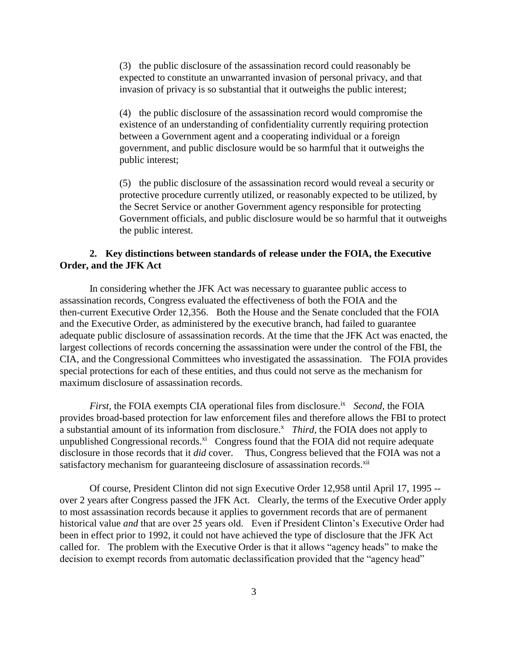(3) the public disclosure of the assassination record could reasonably be expected to constitute an unwarranted invasion of personal privacy, and that invasion of privacy is so substantial that it outweighs the public interest;

(4) the public disclosure of the assassination record would compromise the existence of an understanding of confidentiality currently requiring protection between a Government agent and a cooperating individual or a foreign government, and public disclosure would be so harmful that it outweighs the public interest;

(5) the public disclosure of the assassination record would reveal a security or protective procedure currently utilized, or reasonably expected to be utilized, by the Secret Service or another Government agency responsible for protecting Government officials, and public disclosure would be so harmful that it outweighs the public interest.

# **2. Key distinctions between standards of release under the FOIA, the Executive Order, and the JFK Act**

In considering whether the JFK Act was necessary to guarantee public access to assassination records, Congress evaluated the effectiveness of both the FOIA and the then-current Executive Order 12,356. Both the House and the Senate concluded that the FOIA and the Executive Order, as administered by the executive branch, had failed to guarantee adequate public disclosure of assassination records. At the time that the JFK Act was enacted, the largest collections of records concerning the assassination were under the control of the FBI, the CIA, and the Congressional Committees who investigated the assassination. The FOIA provides special protections for each of these entities, and thus could not serve as the mechanism for maximum disclosure of assassination records.

*First,* the FOIA exempts CIA operational files from disclosure.ix *Second,* the FOIA provides broad-based protection for law enforcement files and therefore allows the FBI to protect a substantial amount of its information from disclosure.<sup>x</sup> *Third*, the FOIA does not apply to unpublished Congressional records. ${}^{xi}$  Congress found that the FOIA did not require adequate disclosure in those records that it *did* cover. Thus, Congress believed that the FOIA was not a satisfactory mechanism for guaranteeing disclosure of assassination records.<sup>xii</sup>

Of course, President Clinton did not sign Executive Order 12,958 until April 17, 1995 - over 2 years after Congress passed the JFK Act. Clearly, the terms of the Executive Order apply to most assassination records because it applies to government records that are of permanent historical value *and* that are over 25 years old. Even if President Clinton's Executive Order had been in effect prior to 1992, it could not have achieved the type of disclosure that the JFK Act called for. The problem with the Executive Order is that it allows "agency heads" to make the decision to exempt records from automatic declassification provided that the "agency head"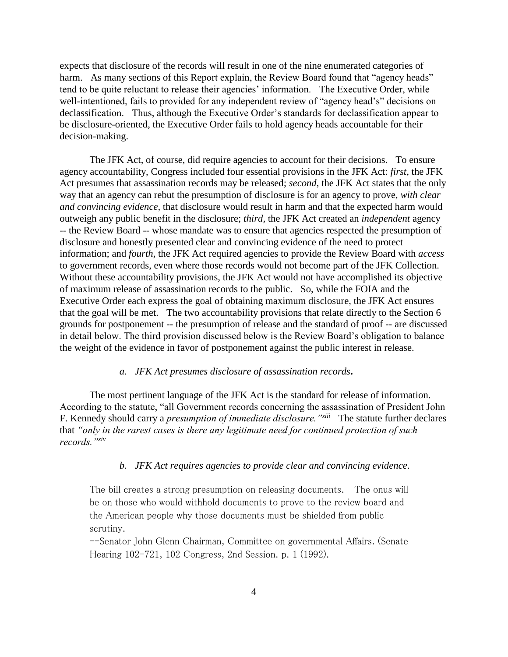expects that disclosure of the records will result in one of the nine enumerated categories of harm. As many sections of this Report explain, the Review Board found that "agency heads" tend to be quite reluctant to release their agencies' information. The Executive Order, while well-intentioned, fails to provided for any independent review of "agency head's" decisions on declassification. Thus, although the Executive Order's standards for declassification appear to be disclosure-oriented, the Executive Order fails to hold agency heads accountable for their decision-making.

The JFK Act, of course, did require agencies to account for their decisions. To ensure agency accountability, Congress included four essential provisions in the JFK Act: *first,* the JFK Act presumes that assassination records may be released; *second*, the JFK Act states that the only way that an agency can rebut the presumption of disclosure is for an agency to prove, *with clear and convincing evidence,* that disclosure would result in harm and that the expected harm would outweigh any public benefit in the disclosure; *third,* the JFK Act created an *independent* agency -- the Review Board -- whose mandate was to ensure that agencies respected the presumption of disclosure and honestly presented clear and convincing evidence of the need to protect information; and *fourth,* the JFK Act required agencies to provide the Review Board with *access* to government records, even where those records would not become part of the JFK Collection. Without these accountability provisions, the JFK Act would not have accomplished its objective of maximum release of assassination records to the public. So, while the FOIA and the Executive Order each express the goal of obtaining maximum disclosure, the JFK Act ensures that the goal will be met. The two accountability provisions that relate directly to the Section 6 grounds for postponement -- the presumption of release and the standard of proof -- are discussed in detail below. The third provision discussed below is the Review Board's obligation to balance the weight of the evidence in favor of postponement against the public interest in release.

### *a. JFK Act presumes disclosure of assassination records***.**

The most pertinent language of the JFK Act is the standard for release of information. According to the statute, "all Government records concerning the assassination of President John F. Kennedy should carry a *presumption of immediate disclosure."xiii* The statute further declares that *"only in the rarest cases is there any legitimate need for continued protection of such records."xiv*

### *b. JFK Act requires agencies to provide clear and convincing evidence*.

The bill creates a strong presumption on releasing documents. The onus will be on those who would withhold documents to prove to the review board and the American people why those documents must be shielded from public scrutiny.

--Senator John Glenn Chairman, Committee on governmental Affairs. (Senate Hearing 102-721, 102 Congress, 2nd Session. p. 1 (1992).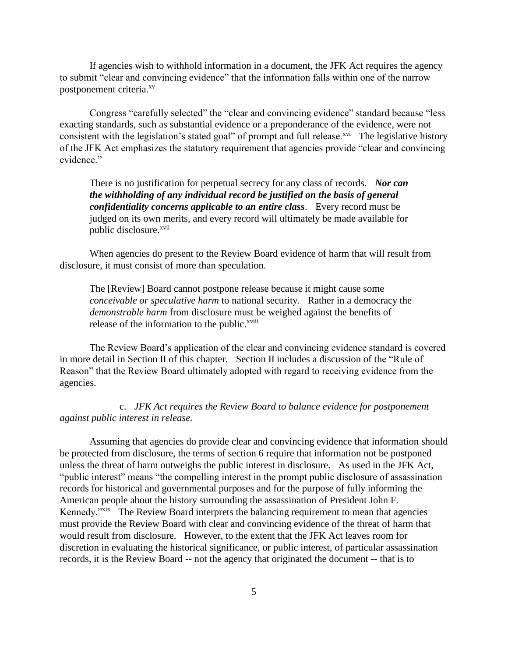If agencies wish to withhold information in a document, the JFK Act requires the agency to submit "clear and convincing evidence" that the information falls within one of the narrow postponement criteria.<sup>xv</sup>

Congress "carefully selected" the "clear and convincing evidence" standard because "less exacting standards, such as substantial evidence or a preponderance of the evidence, were not consistent with the legislation's stated goal" of prompt and full release.<sup>xvi</sup> The legislative history of the JFK Act emphasizes the statutory requirement that agencies provide "clear and convincing evidence"

There is no justification for perpetual secrecy for any class of records. *Nor can the withholding of any individual record be justified on the basis of general confidentiality concerns applicable to an entire class*.Every record must be judged on its own merits, and every record will ultimately be made available for public disclosure.<sup>xvii</sup>

When agencies do present to the Review Board evidence of harm that will result from disclosure, it must consist of more than speculation.

The [Review] Board cannot postpone release because it might cause some *conceivable or speculative harm* to national security. Rather in a democracy the *demonstrable harm* from disclosure must be weighed against the benefits of release of the information to the public.<sup>xviii</sup>

The Review Board's application of the clear and convincing evidence standard is covered in more detail in Section II of this chapter. Section II includes a discussion of the "Rule of Reason" that the Review Board ultimately adopted with regard to receiving evidence from the agencies.

c. *JFK Act requires the Review Board to balance evidence for postponement against public interest in release.*

Assuming that agencies do provide clear and convincing evidence that information should be protected from disclosure, the terms of section 6 require that information not be postponed unless the threat of harm outweighs the public interest in disclosure. As used in the JFK Act, "public interest" means "the compelling interest in the prompt public disclosure of assassination records for historical and governmental purposes and for the purpose of fully informing the American people about the history surrounding the assassination of President John F. Kennedy."<sup>xix</sup> The Review Board interprets the balancing requirement to mean that agencies must provide the Review Board with clear and convincing evidence of the threat of harm that would result from disclosure. However, to the extent that the JFK Act leaves room for discretion in evaluating the historical significance, or public interest, of particular assassination records, it is the Review Board -- not the agency that originated the document -- that is to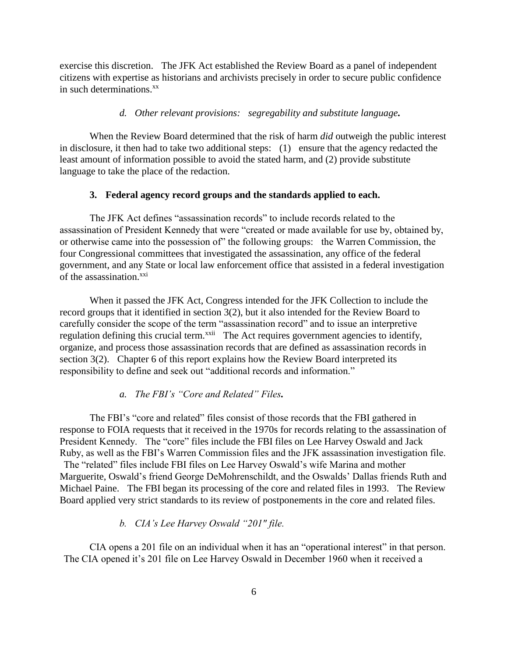exercise this discretion. The JFK Act established the Review Board as a panel of independent citizens with expertise as historians and archivists precisely in order to secure public confidence in such determinations.<sup>xx</sup>

# *d. Other relevant provisions: segregability and substitute language.*

When the Review Board determined that the risk of harm *did* outweigh the public interest in disclosure, it then had to take two additional steps: (1) ensure that the agency redacted the least amount of information possible to avoid the stated harm, and (2) provide substitute language to take the place of the redaction.

## **3. Federal agency record groups and the standards applied to each.**

The JFK Act defines "assassination records" to include records related to the assassination of President Kennedy that were "created or made available for use by, obtained by, or otherwise came into the possession of" the following groups: the Warren Commission, the four Congressional committees that investigated the assassination, any office of the federal government, and any State or local law enforcement office that assisted in a federal investigation of the assassination.<sup>xxi</sup>

When it passed the JFK Act, Congress intended for the JFK Collection to include the record groups that it identified in section 3(2), but it also intended for the Review Board to carefully consider the scope of the term "assassination record" and to issue an interpretive regulation defining this crucial term.<sup>xxii</sup> The Act requires government agencies to identify, organize, and process those assassination records that are defined as assassination records in section 3(2). Chapter 6 of this report explains how the Review Board interpreted its responsibility to define and seek out "additional records and information."

### *a. The FBI's "Core and Related" Files.*

The FBI's "core and related" files consist of those records that the FBI gathered in response to FOIA requests that it received in the 1970s for records relating to the assassination of President Kennedy. The "core" files include the FBI files on Lee Harvey Oswald and Jack Ruby, as well as the FBI's Warren Commission files and the JFK assassination investigation file. The "related" files include FBI files on Lee Harvey Oswald's wife Marina and mother Marguerite, Oswald's friend George DeMohrenschildt, and the Oswalds' Dallas friends Ruth and Michael Paine. The FBI began its processing of the core and related files in 1993. The Review Board applied very strict standards to its review of postponements in the core and related files.

# *b. CIA's Lee Harvey Oswald "201" file.*

CIA opens a 201 file on an individual when it has an "operational interest" in that person. The CIA opened it's 201 file on Lee Harvey Oswald in December 1960 when it received a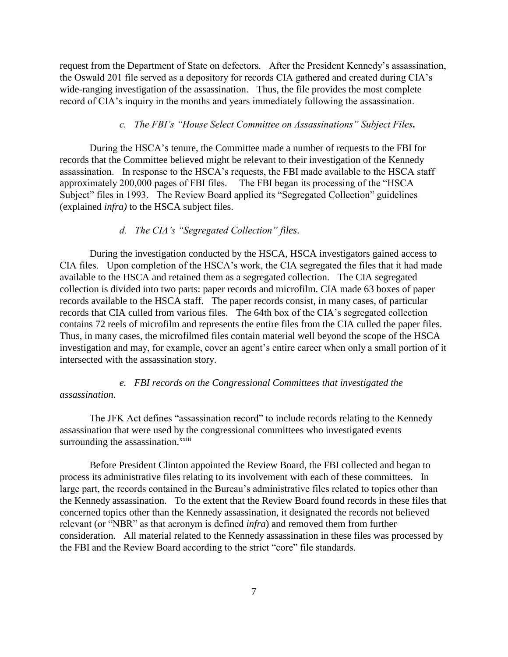request from the Department of State on defectors. After the President Kennedy's assassination, the Oswald 201 file served as a depository for records CIA gathered and created during CIA's wide-ranging investigation of the assassination. Thus, the file provides the most complete record of CIA's inquiry in the months and years immediately following the assassination.

# *c. The FBI's "House Select Committee on Assassinations" Subject Files.*

During the HSCA's tenure, the Committee made a number of requests to the FBI for records that the Committee believed might be relevant to their investigation of the Kennedy assassination. In response to the HSCA's requests, the FBI made available to the HSCA staff approximately 200,000 pages of FBI files. The FBI began its processing of the "HSCA Subject" files in 1993. The Review Board applied its "Segregated Collection" guidelines (explained *infra)* to the HSCA subject files.

### *d. The CIA's "Segregated Collection" files*.

During the investigation conducted by the HSCA, HSCA investigators gained access to CIA files. Upon completion of the HSCA's work, the CIA segregated the files that it had made available to the HSCA and retained them as a segregated collection. The CIA segregated collection is divided into two parts: paper records and microfilm. CIA made 63 boxes of paper records available to the HSCA staff. The paper records consist, in many cases, of particular records that CIA culled from various files. The 64th box of the CIA's segregated collection contains 72 reels of microfilm and represents the entire files from the CIA culled the paper files. Thus, in many cases, the microfilmed files contain material well beyond the scope of the HSCA investigation and may, for example, cover an agent's entire career when only a small portion of it intersected with the assassination story.

*e. FBI records on the Congressional Committees that investigated the assassination*.

The JFK Act defines "assassination record" to include records relating to the Kennedy assassination that were used by the congressional committees who investigated events surrounding the assassination.<sup>xxiii</sup>

Before President Clinton appointed the Review Board, the FBI collected and began to process its administrative files relating to its involvement with each of these committees. In large part, the records contained in the Bureau's administrative files related to topics other than the Kennedy assassination. To the extent that the Review Board found records in these files that concerned topics other than the Kennedy assassination, it designated the records not believed relevant (or "NBR" as that acronym is defined *infra*) and removed them from further consideration. All material related to the Kennedy assassination in these files was processed by the FBI and the Review Board according to the strict "core" file standards.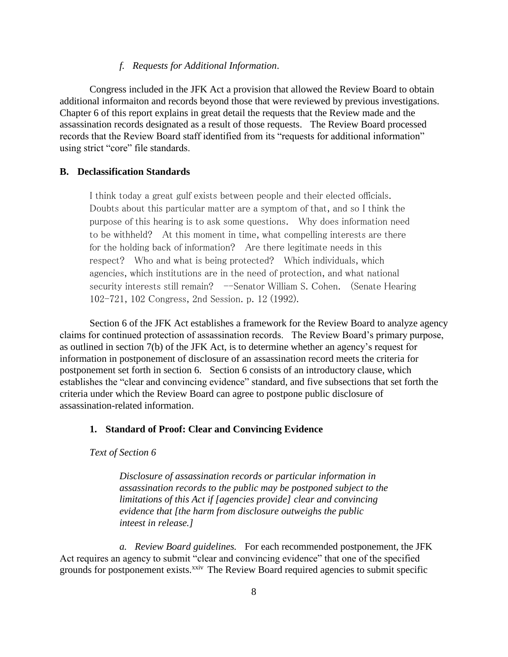### *f. Requests for Additional Information*.

Congress included in the JFK Act a provision that allowed the Review Board to obtain additional informaiton and records beyond those that were reviewed by previous investigations. Chapter 6 of this report explains in great detail the requests that the Review made and the assassination records designated as a result of those requests. The Review Board processed records that the Review Board staff identified from its "requests for additional information" using strict "core" file standards.

### **B. Declassification Standards**

I think today a great gulf exists between people and their elected officials. Doubts about this particular matter are a symptom of that, and so I think the purpose of this hearing is to ask some questions. Why does information need to be withheld? At this moment in time, what compelling interests are there for the holding back of information? Are there legitimate needs in this respect? Who and what is being protected? Which individuals, which agencies, which institutions are in the need of protection, and what national security interests still remain? -Senator William S. Cohen. (Senate Hearing 102-721, 102 Congress, 2nd Session. p. 12 (1992).

Section 6 of the JFK Act establishes a framework for the Review Board to analyze agency claims for continued protection of assassination records. The Review Board's primary purpose, as outlined in section 7(b) of the JFK Act, is to determine whether an agency's request for information in postponement of disclosure of an assassination record meets the criteria for postponement set forth in section 6. Section 6 consists of an introductory clause, which establishes the "clear and convincing evidence" standard, and five subsections that set forth the criteria under which the Review Board can agree to postpone public disclosure of assassination-related information.

### **1. Standard of Proof: Clear and Convincing Evidence**

*Text of Section 6*

*Disclosure of assassination records or particular information in assassination records to the public may be postponed subject to the limitations of this Act if [agencies provide] clear and convincing evidence that [the harm from disclosure outweighs the public inteest in release.]*

*a. Review Board guidelines.* For each recommended postponement, the JFK Act requires an agency to submit "clear and convincing evidence" that one of the specified grounds for postponement exists.<sup>xxiv</sup> The Review Board required agencies to submit specific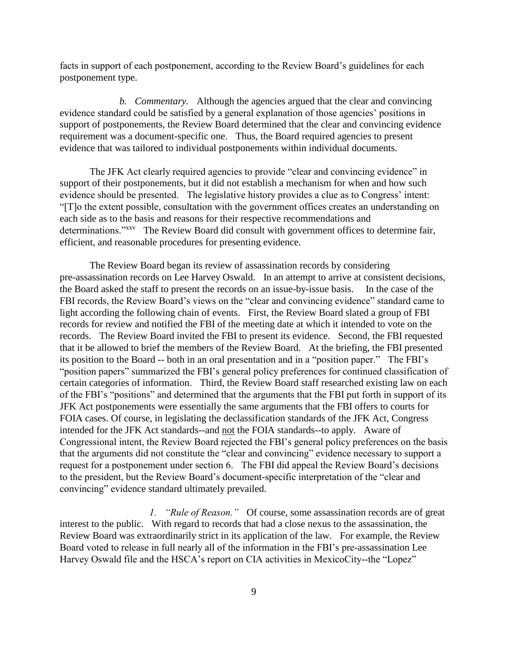facts in support of each postponement, according to the Review Board's guidelines for each postponement type.

*b. Commentary.* Although the agencies argued that the clear and convincing evidence standard could be satisfied by a general explanation of those agencies' positions in support of postponements, the Review Board determined that the clear and convincing evidence requirement was a document-specific one. Thus, the Board required agencies to present evidence that was tailored to individual postponements within individual documents.

The JFK Act clearly required agencies to provide "clear and convincing evidence" in support of their postponements, but it did not establish a mechanism for when and how such evidence should be presented. The legislative history provides a clue as to Congress' intent: "[T]o the extent possible, consultation with the government offices creates an understanding on each side as to the basis and reasons for their respective recommendations and determinations."<sup>xxv</sup> The Review Board did consult with government offices to determine fair, efficient, and reasonable procedures for presenting evidence.

The Review Board began its review of assassination records by considering pre-assassination records on Lee Harvey Oswald. In an attempt to arrive at consistent decisions, the Board asked the staff to present the records on an issue-by-issue basis. In the case of the FBI records, the Review Board's views on the "clear and convincing evidence" standard came to light according the following chain of events. First, the Review Board slated a group of FBI records for review and notified the FBI of the meeting date at which it intended to vote on the records. The Review Board invited the FBI to present its evidence. Second, the FBI requested that it be allowed to brief the members of the Review Board. At the briefing, the FBI presented its position to the Board -- both in an oral presentation and in a "position paper." The FBI's "position papers" summarized the FBI's general policy preferences for continued classification of certain categories of information. Third, the Review Board staff researched existing law on each of the FBI's "positions" and determined that the arguments that the FBI put forth in support of its JFK Act postponements were essentially the same arguments that the FBI offers to courts for FOIA cases. Of course, in legislating the declassification standards of the JFK Act, Congress intended for the JFK Act standards--and not the FOIA standards--to apply. Aware of Congressional intent, the Review Board rejected the FBI's general policy preferences on the basis that the arguments did not constitute the "clear and convincing" evidence necessary to support a request for a postponement under section 6. The FBI did appeal the Review Board's decisions to the president, but the Review Board's document-specific interpretation of the "clear and convincing" evidence standard ultimately prevailed.

*1. "Rule of Reason."* Of course, some assassination records are of great interest to the public. With regard to records that had a close nexus to the assassination, the Review Board was extraordinarily strict in its application of the law. For example, the Review Board voted to release in full nearly all of the information in the FBI's pre-assassination Lee Harvey Oswald file and the HSCA's report on CIA activities in MexicoCity--the "Lopez"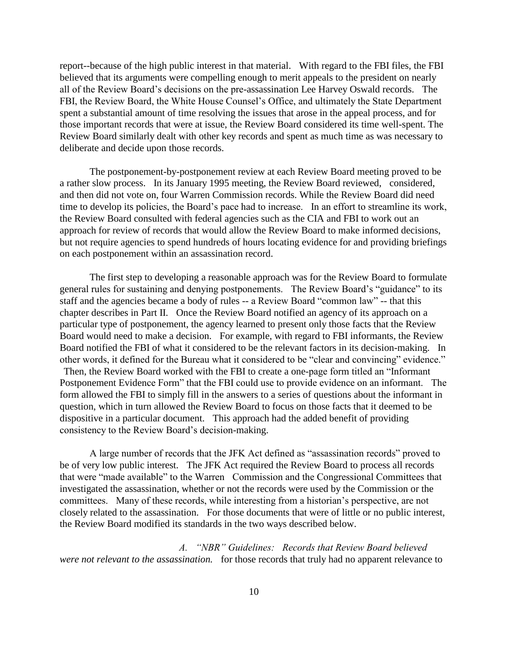report--because of the high public interest in that material. With regard to the FBI files, the FBI believed that its arguments were compelling enough to merit appeals to the president on nearly all of the Review Board's decisions on the pre-assassination Lee Harvey Oswald records. The FBI, the Review Board, the White House Counsel's Office, and ultimately the State Department spent a substantial amount of time resolving the issues that arose in the appeal process, and for those important records that were at issue, the Review Board considered its time well-spent. The Review Board similarly dealt with other key records and spent as much time as was necessary to deliberate and decide upon those records.

The postponement-by-postponement review at each Review Board meeting proved to be a rather slow process. In its January 1995 meeting, the Review Board reviewed, considered, and then did not vote on, four Warren Commission records. While the Review Board did need time to develop its policies, the Board's pace had to increase. In an effort to streamline its work, the Review Board consulted with federal agencies such as the CIA and FBI to work out an approach for review of records that would allow the Review Board to make informed decisions, but not require agencies to spend hundreds of hours locating evidence for and providing briefings on each postponement within an assassination record.

The first step to developing a reasonable approach was for the Review Board to formulate general rules for sustaining and denying postponements. The Review Board's "guidance" to its staff and the agencies became a body of rules -- a Review Board "common law" -- that this chapter describes in Part II. Once the Review Board notified an agency of its approach on a particular type of postponement, the agency learned to present only those facts that the Review Board would need to make a decision. For example, with regard to FBI informants, the Review Board notified the FBI of what it considered to be the relevant factors in its decision-making. In other words, it defined for the Bureau what it considered to be "clear and convincing" evidence." Then, the Review Board worked with the FBI to create a one-page form titled an "Informant Postponement Evidence Form" that the FBI could use to provide evidence on an informant. The form allowed the FBI to simply fill in the answers to a series of questions about the informant in question, which in turn allowed the Review Board to focus on those facts that it deemed to be dispositive in a particular document. This approach had the added benefit of providing consistency to the Review Board's decision-making.

A large number of records that the JFK Act defined as "assassination records" proved to be of very low public interest. The JFK Act required the Review Board to process all records that were "made available" to the Warren Commission and the Congressional Committees that investigated the assassination, whether or not the records were used by the Commission or the committees. Many of these records, while interesting from a historian's perspective, are not closely related to the assassination. For those documents that were of little or no public interest, the Review Board modified its standards in the two ways described below.

*A. "NBR" Guidelines: Records that Review Board believed were not relevant to the assassination.* for those records that truly had no apparent relevance to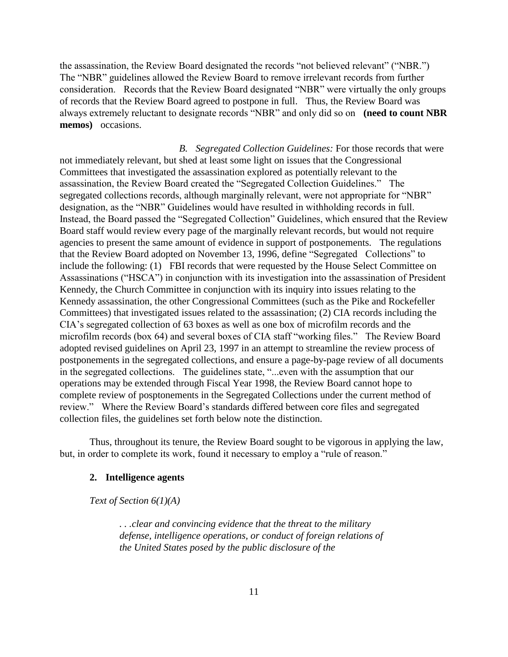the assassination, the Review Board designated the records "not believed relevant" ("NBR.") The "NBR" guidelines allowed the Review Board to remove irrelevant records from further consideration. Records that the Review Board designated "NBR" were virtually the only groups of records that the Review Board agreed to postpone in full. Thus, the Review Board was always extremely reluctant to designate records "NBR" and only did so on **(need to count NBR memos)** occasions.

*B. Segregated Collection Guidelines:* For those records that were not immediately relevant, but shed at least some light on issues that the Congressional Committees that investigated the assassination explored as potentially relevant to the assassination, the Review Board created the "Segregated Collection Guidelines." The segregated collections records, although marginally relevant, were not appropriate for "NBR" designation, as the "NBR" Guidelines would have resulted in withholding records in full. Instead, the Board passed the "Segregated Collection" Guidelines, which ensured that the Review Board staff would review every page of the marginally relevant records, but would not require agencies to present the same amount of evidence in support of postponements. The regulations that the Review Board adopted on November 13, 1996, define "Segregated Collections" to include the following: (1) FBI records that were requested by the House Select Committee on Assassinations ("HSCA") in conjunction with its investigation into the assassination of President Kennedy, the Church Committee in conjunction with its inquiry into issues relating to the Kennedy assassination, the other Congressional Committees (such as the Pike and Rockefeller Committees) that investigated issues related to the assassination; (2) CIA records including the CIA's segregated collection of 63 boxes as well as one box of microfilm records and the microfilm records (box 64) and several boxes of CIA staff "working files." The Review Board adopted revised guidelines on April 23, 1997 in an attempt to streamline the review process of postponements in the segregated collections, and ensure a page-by-page review of all documents in the segregated collections. The guidelines state, "...even with the assumption that our operations may be extended through Fiscal Year 1998, the Review Board cannot hope to complete review of posptonements in the Segregated Collections under the current method of review." Where the Review Board's standards differed between core files and segregated collection files, the guidelines set forth below note the distinction.

Thus, throughout its tenure, the Review Board sought to be vigorous in applying the law, but, in order to complete its work, found it necessary to employ a "rule of reason."

### **2. Intelligence agents**

#### *Text of Section 6(1)(A)*

*. . .clear and convincing evidence that the threat to the military defense, intelligence operations, or conduct of foreign relations of the United States posed by the public disclosure of the*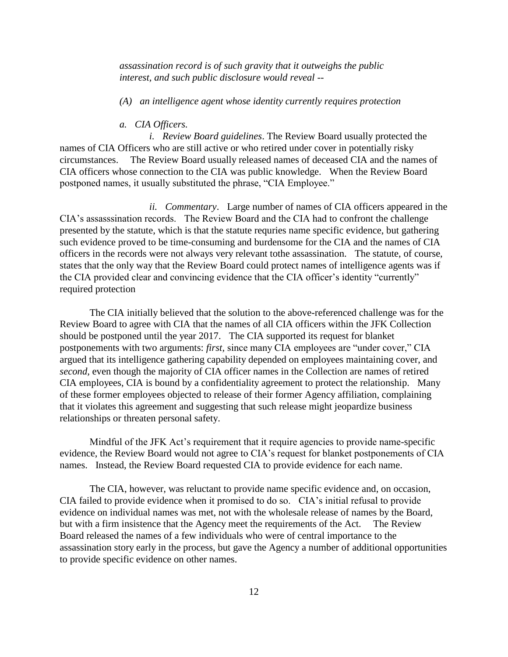*assassination record is of such gravity that it outweighs the public interest, and such public disclosure would reveal --*

*(A) an intelligence agent whose identity currently requires protection*

#### *a. CIA Officers.*

*i. Review Board guidelines*. The Review Board usually protected the names of CIA Officers who are still active or who retired under cover in potentially risky circumstances. The Review Board usually released names of deceased CIA and the names of CIA officers whose connection to the CIA was public knowledge. When the Review Board postponed names, it usually substituted the phrase, "CIA Employee."

*ii. Commentary*. Large number of names of CIA officers appeared in the CIA's assasssination records. The Review Board and the CIA had to confront the challenge presented by the statute, which is that the statute requries name specific evidence, but gathering such evidence proved to be time-consuming and burdensome for the CIA and the names of CIA officers in the records were not always very relevant tothe assassination. The statute, of course, states that the only way that the Review Board could protect names of intelligence agents was if the CIA provided clear and convincing evidence that the CIA officer's identity "currently" required protection

The CIA initially believed that the solution to the above-referenced challenge was for the Review Board to agree with CIA that the names of all CIA officers within the JFK Collection should be postponed until the year 2017. The CIA supported its request for blanket postponements with two arguments: *first,* since many CIA employees are "under cover," CIA argued that its intelligence gathering capability depended on employees maintaining cover, and *second,* even though the majority of CIA officer names in the Collection are names of retired CIA employees, CIA is bound by a confidentiality agreement to protect the relationship. Many of these former employees objected to release of their former Agency affiliation, complaining that it violates this agreement and suggesting that such release might jeopardize business relationships or threaten personal safety.

Mindful of the JFK Act's requirement that it require agencies to provide name-specific evidence, the Review Board would not agree to CIA's request for blanket postponements of CIA names. Instead, the Review Board requested CIA to provide evidence for each name.

The CIA, however, was reluctant to provide name specific evidence and, on occasion, CIA failed to provide evidence when it promised to do so. CIA's initial refusal to provide evidence on individual names was met, not with the wholesale release of names by the Board, but with a firm insistence that the Agency meet the requirements of the Act. The Review Board released the names of a few individuals who were of central importance to the assassination story early in the process, but gave the Agency a number of additional opportunities to provide specific evidence on other names.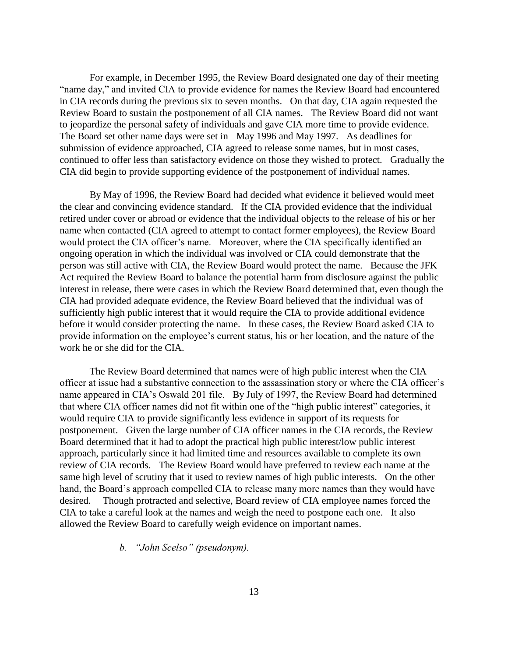For example, in December 1995, the Review Board designated one day of their meeting "name day," and invited CIA to provide evidence for names the Review Board had encountered in CIA records during the previous six to seven months. On that day, CIA again requested the Review Board to sustain the postponement of all CIA names. The Review Board did not want to jeopardize the personal safety of individuals and gave CIA more time to provide evidence. The Board set other name days were set in May 1996 and May 1997. As deadlines for submission of evidence approached, CIA agreed to release some names, but in most cases, continued to offer less than satisfactory evidence on those they wished to protect. Gradually the CIA did begin to provide supporting evidence of the postponement of individual names.

By May of 1996, the Review Board had decided what evidence it believed would meet the clear and convincing evidence standard. If the CIA provided evidence that the individual retired under cover or abroad or evidence that the individual objects to the release of his or her name when contacted (CIA agreed to attempt to contact former employees), the Review Board would protect the CIA officer's name. Moreover, where the CIA specifically identified an ongoing operation in which the individual was involved or CIA could demonstrate that the person was still active with CIA, the Review Board would protect the name. Because the JFK Act required the Review Board to balance the potential harm from disclosure against the public interest in release, there were cases in which the Review Board determined that, even though the CIA had provided adequate evidence, the Review Board believed that the individual was of sufficiently high public interest that it would require the CIA to provide additional evidence before it would consider protecting the name. In these cases, the Review Board asked CIA to provide information on the employee's current status, his or her location, and the nature of the work he or she did for the CIA.

The Review Board determined that names were of high public interest when the CIA officer at issue had a substantive connection to the assassination story or where the CIA officer's name appeared in CIA's Oswald 201 file. By July of 1997, the Review Board had determined that where CIA officer names did not fit within one of the "high public interest" categories, it would require CIA to provide significantly less evidence in support of its requests for postponement. Given the large number of CIA officer names in the CIA records, the Review Board determined that it had to adopt the practical high public interest/low public interest approach, particularly since it had limited time and resources available to complete its own review of CIA records. The Review Board would have preferred to review each name at the same high level of scrutiny that it used to review names of high public interests. On the other hand, the Board's approach compelled CIA to release many more names than they would have desired. Though protracted and selective, Board review of CIA employee names forced the CIA to take a careful look at the names and weigh the need to postpone each one. It also allowed the Review Board to carefully weigh evidence on important names.

*b. "John Scelso" (pseudonym).*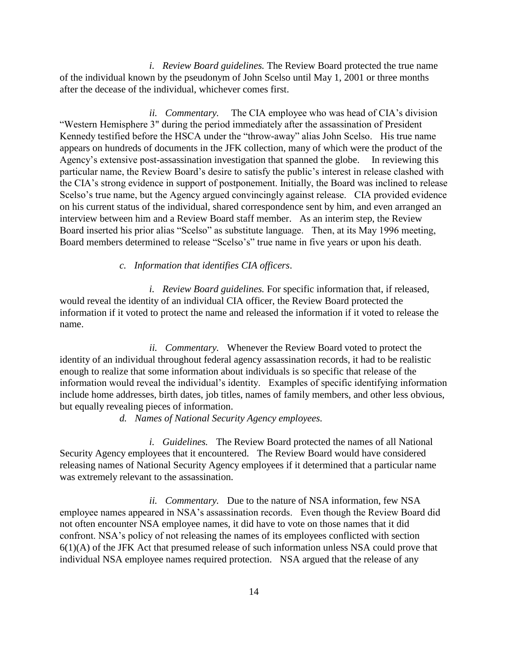*i. Review Board guidelines.* The Review Board protected the true name of the individual known by the pseudonym of John Scelso until May 1, 2001 or three months after the decease of the individual, whichever comes first.

*ii. Commentary.* The CIA employee who was head of CIA's division "Western Hemisphere 3" during the period immediately after the assassination of President Kennedy testified before the HSCA under the "throw-away" alias John Scelso. His true name appears on hundreds of documents in the JFK collection, many of which were the product of the Agency's extensive post-assassination investigation that spanned the globe. In reviewing this particular name, the Review Board's desire to satisfy the public's interest in release clashed with the CIA's strong evidence in support of postponement. Initially, the Board was inclined to release Scelso's true name, but the Agency argued convincingly against release. CIA provided evidence on his current status of the individual, shared correspondence sent by him, and even arranged an interview between him and a Review Board staff member. As an interim step, the Review Board inserted his prior alias "Scelso" as substitute language. Then, at its May 1996 meeting, Board members determined to release "Scelso's" true name in five years or upon his death.

*c. Information that identifies CIA officers*.

*i. Review Board guidelines.* For specific information that, if released, would reveal the identity of an individual CIA officer, the Review Board protected the information if it voted to protect the name and released the information if it voted to release the name.

*ii. Commentary.* Whenever the Review Board voted to protect the identity of an individual throughout federal agency assassination records, it had to be realistic enough to realize that some information about individuals is so specific that release of the information would reveal the individual's identity. Examples of specific identifying information include home addresses, birth dates, job titles, names of family members, and other less obvious, but equally revealing pieces of information.

*d. Names of National Security Agency employees.*

*i. Guidelines.* The Review Board protected the names of all National Security Agency employees that it encountered. The Review Board would have considered releasing names of National Security Agency employees if it determined that a particular name was extremely relevant to the assassination.

*ii. Commentary.* Due to the nature of NSA information, few NSA employee names appeared in NSA's assassination records. Even though the Review Board did not often encounter NSA employee names, it did have to vote on those names that it did confront. NSA's policy of not releasing the names of its employees conflicted with section 6(1)(A) of the JFK Act that presumed release of such information unless NSA could prove that individual NSA employee names required protection. NSA argued that the release of any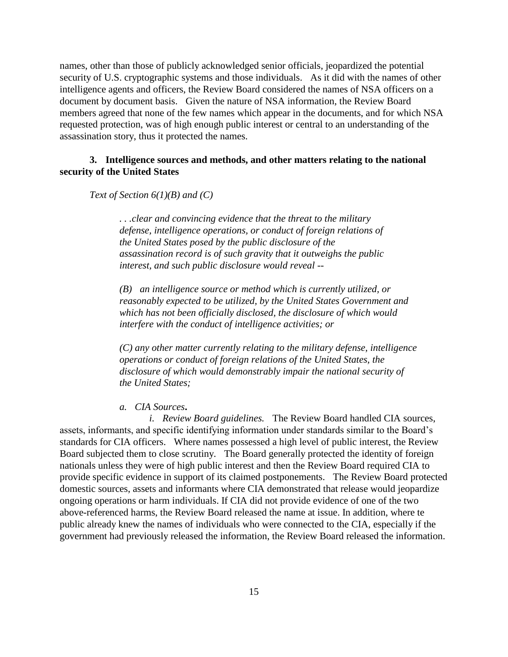names, other than those of publicly acknowledged senior officials, jeopardized the potential security of U.S. cryptographic systems and those individuals. As it did with the names of other intelligence agents and officers, the Review Board considered the names of NSA officers on a document by document basis. Given the nature of NSA information, the Review Board members agreed that none of the few names which appear in the documents, and for which NSA requested protection, was of high enough public interest or central to an understanding of the assassination story, thus it protected the names.

# **3. Intelligence sources and methods, and other matters relating to the national security of the United States**

*Text of Section 6(1)(B) and (C)*

*. . .clear and convincing evidence that the threat to the military defense, intelligence operations, or conduct of foreign relations of the United States posed by the public disclosure of the assassination record is of such gravity that it outweighs the public interest, and such public disclosure would reveal --*

*(B) an intelligence source or method which is currently utilized, or reasonably expected to be utilized, by the United States Government and which has not been officially disclosed, the disclosure of which would interfere with the conduct of intelligence activities; or*

*(C) any other matter currently relating to the military defense, intelligence operations or conduct of foreign relations of the United States, the disclosure of which would demonstrably impair the national security of the United States;*

*a. CIA Sources***.**

*i. Review Board guidelines.* The Review Board handled CIA sources, assets, informants, and specific identifying information under standards similar to the Board's standards for CIA officers. Where names possessed a high level of public interest, the Review Board subjected them to close scrutiny. The Board generally protected the identity of foreign nationals unless they were of high public interest and then the Review Board required CIA to provide specific evidence in support of its claimed postponements. The Review Board protected domestic sources, assets and informants where CIA demonstrated that release would jeopardize ongoing operations or harm individuals. If CIA did not provide evidence of one of the two above-referenced harms, the Review Board released the name at issue. In addition, where te public already knew the names of individuals who were connected to the CIA, especially if the government had previously released the information, the Review Board released the information.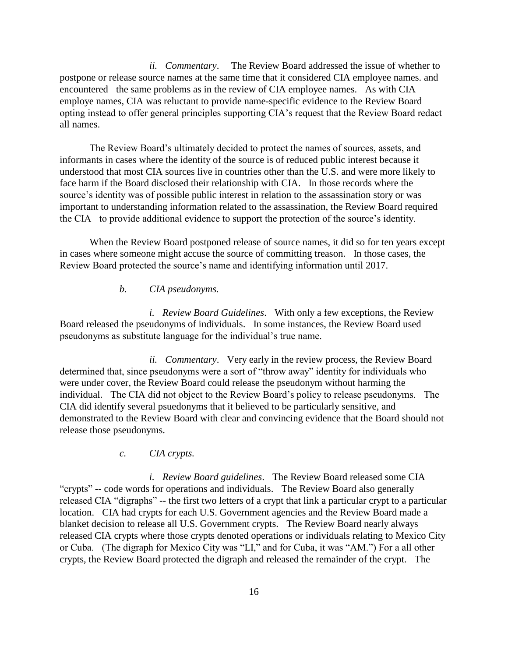*ii. Commentary*. The Review Board addressed the issue of whether to postpone or release source names at the same time that it considered CIA employee names. and encountered the same problems as in the review of CIA employee names. As with CIA employe names, CIA was reluctant to provide name-specific evidence to the Review Board opting instead to offer general principles supporting CIA's request that the Review Board redact all names.

The Review Board's ultimately decided to protect the names of sources, assets, and informants in cases where the identity of the source is of reduced public interest because it understood that most CIA sources live in countries other than the U.S. and were more likely to face harm if the Board disclosed their relationship with CIA. In those records where the source's identity was of possible public interest in relation to the assassination story or was important to understanding information related to the assassination, the Review Board required the CIA to provide additional evidence to support the protection of the source's identity.

When the Review Board postponed release of source names, it did so for ten years except in cases where someone might accuse the source of committing treason. In those cases, the Review Board protected the source's name and identifying information until 2017.

# *b. CIA pseudonyms.*

*i. Review Board Guidelines*. With only a few exceptions, the Review Board released the pseudonyms of individuals. In some instances, the Review Board used pseudonyms as substitute language for the individual's true name.

*ii. Commentary*. Very early in the review process, the Review Board determined that, since pseudonyms were a sort of "throw away" identity for individuals who were under cover, the Review Board could release the pseudonym without harming the individual. The CIA did not object to the Review Board's policy to release pseudonyms. The CIA did identify several psuedonyms that it believed to be particularly sensitive, and demonstrated to the Review Board with clear and convincing evidence that the Board should not release those pseudonyms.

# *c. CIA crypts.*

*i. Review Board guidelines*. The Review Board released some CIA "crypts" -- code words for operations and individuals. The Review Board also generally released CIA "digraphs" -- the first two letters of a crypt that link a particular crypt to a particular location. CIA had crypts for each U.S. Government agencies and the Review Board made a blanket decision to release all U.S. Government crypts. The Review Board nearly always released CIA crypts where those crypts denoted operations or individuals relating to Mexico City or Cuba. (The digraph for Mexico City was "LI," and for Cuba, it was "AM.") For a all other crypts, the Review Board protected the digraph and released the remainder of the crypt. The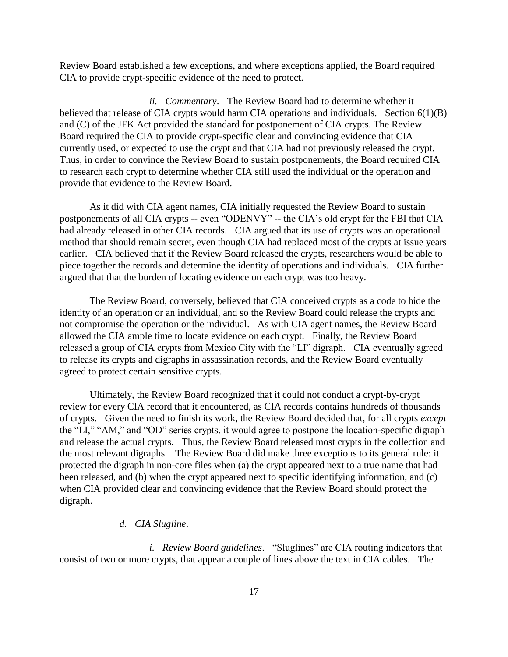Review Board established a few exceptions, and where exceptions applied, the Board required CIA to provide crypt-specific evidence of the need to protect.

*ii. Commentary*. The Review Board had to determine whether it believed that release of CIA crypts would harm CIA operations and individuals. Section  $6(1)(B)$ and (C) of the JFK Act provided the standard for postponement of CIA crypts. The Review Board required the CIA to provide crypt-specific clear and convincing evidence that CIA currently used, or expected to use the crypt and that CIA had not previously released the crypt. Thus, in order to convince the Review Board to sustain postponements, the Board required CIA to research each crypt to determine whether CIA still used the individual or the operation and provide that evidence to the Review Board.

As it did with CIA agent names, CIA initially requested the Review Board to sustain postponements of all CIA crypts -- even "ODENVY" -- the CIA's old crypt for the FBI that CIA had already released in other CIA records. CIA argued that its use of crypts was an operational method that should remain secret, even though CIA had replaced most of the crypts at issue years earlier. CIA believed that if the Review Board released the crypts, researchers would be able to piece together the records and determine the identity of operations and individuals. CIA further argued that that the burden of locating evidence on each crypt was too heavy.

The Review Board, conversely, believed that CIA conceived crypts as a code to hide the identity of an operation or an individual, and so the Review Board could release the crypts and not compromise the operation or the individual. As with CIA agent names, the Review Board allowed the CIA ample time to locate evidence on each crypt. Finally, the Review Board released a group of CIA crypts from Mexico City with the "LI" digraph. CIA eventually agreed to release its crypts and digraphs in assassination records, and the Review Board eventually agreed to protect certain sensitive crypts.

Ultimately, the Review Board recognized that it could not conduct a crypt-by-crypt review for every CIA record that it encountered, as CIA records contains hundreds of thousands of crypts. Given the need to finish its work, the Review Board decided that, for all crypts *except* the "LI," "AM," and "OD" series crypts, it would agree to postpone the location-specific digraph and release the actual crypts. Thus, the Review Board released most crypts in the collection and the most relevant digraphs. The Review Board did make three exceptions to its general rule: it protected the digraph in non-core files when (a) the crypt appeared next to a true name that had been released, and (b) when the crypt appeared next to specific identifying information, and (c) when CIA provided clear and convincing evidence that the Review Board should protect the digraph.

### *d. CIA Slugline*.

*i. Review Board guidelines*. "Sluglines" are CIA routing indicators that consist of two or more crypts, that appear a couple of lines above the text in CIA cables. The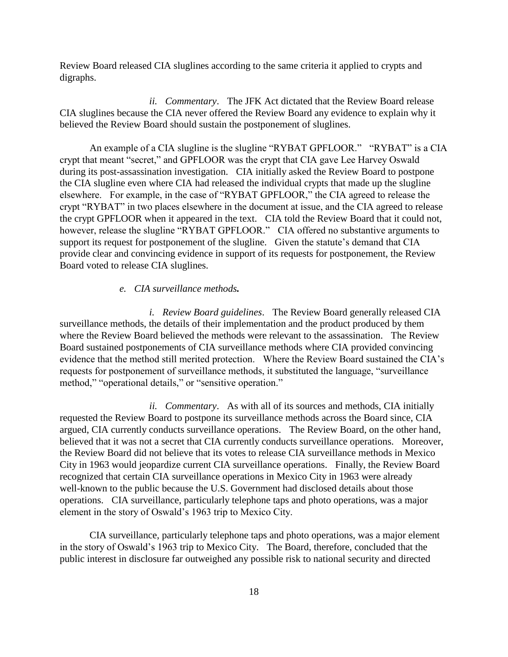Review Board released CIA sluglines according to the same criteria it applied to crypts and digraphs.

*ii. Commentary*. The JFK Act dictated that the Review Board release CIA sluglines because the CIA never offered the Review Board any evidence to explain why it believed the Review Board should sustain the postponement of sluglines.

An example of a CIA slugline is the slugline "RYBAT GPFLOOR." "RYBAT" is a CIA crypt that meant "secret," and GPFLOOR was the crypt that CIA gave Lee Harvey Oswald during its post-assassination investigation. CIA initially asked the Review Board to postpone the CIA slugline even where CIA had released the individual crypts that made up the slugline elsewhere. For example, in the case of "RYBAT GPFLOOR," the CIA agreed to release the crypt "RYBAT" in two places elsewhere in the document at issue, and the CIA agreed to release the crypt GPFLOOR when it appeared in the text. CIA told the Review Board that it could not, however, release the slugline "RYBAT GPFLOOR." CIA offered no substantive arguments to support its request for postponement of the slugline. Given the statute's demand that CIA provide clear and convincing evidence in support of its requests for postponement, the Review Board voted to release CIA sluglines.

# *e. CIA surveillance methods.*

*i. Review Board guidelines*. The Review Board generally released CIA surveillance methods, the details of their implementation and the product produced by them where the Review Board believed the methods were relevant to the assassination. The Review Board sustained postponements of CIA surveillance methods where CIA provided convincing evidence that the method still merited protection. Where the Review Board sustained the CIA's requests for postponement of surveillance methods, it substituted the language, "surveillance method," "operational details," or "sensitive operation."

*ii. Commentary*. As with all of its sources and methods, CIA initially requested the Review Board to postpone its surveillance methods across the Board since, CIA argued, CIA currently conducts surveillance operations. The Review Board, on the other hand, believed that it was not a secret that CIA currently conducts surveillance operations. Moreover, the Review Board did not believe that its votes to release CIA surveillance methods in Mexico City in 1963 would jeopardize current CIA surveillance operations. Finally, the Review Board recognized that certain CIA surveillance operations in Mexico City in 1963 were already well-known to the public because the U.S. Government had disclosed details about those operations. CIA surveillance, particularly telephone taps and photo operations, was a major element in the story of Oswald's 1963 trip to Mexico City.

CIA surveillance, particularly telephone taps and photo operations, was a major element in the story of Oswald's 1963 trip to Mexico City. The Board, therefore, concluded that the public interest in disclosure far outweighed any possible risk to national security and directed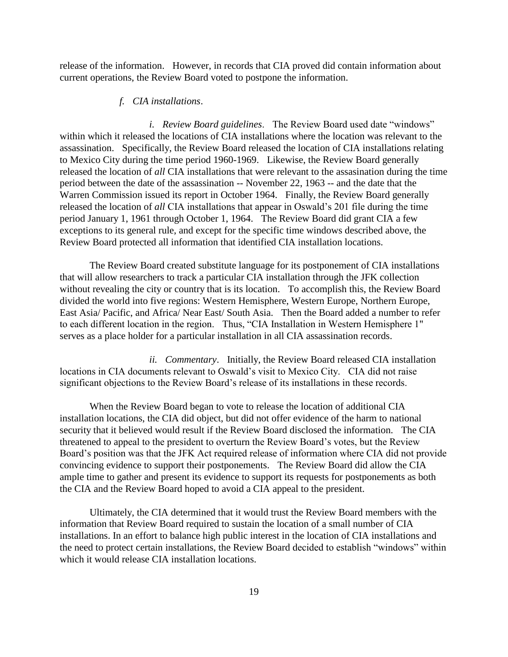release of the information. However, in records that CIA proved did contain information about current operations, the Review Board voted to postpone the information.

# *f. CIA installations*.

*i. Review Board guidelines*. The Review Board used date "windows" within which it released the locations of CIA installations where the location was relevant to the assassination. Specifically, the Review Board released the location of CIA installations relating to Mexico City during the time period 1960-1969. Likewise, the Review Board generally released the location of *all* CIA installations that were relevant to the assasination during the time period between the date of the assassination -- November 22, 1963 -- and the date that the Warren Commission issued its report in October 1964. Finally, the Review Board generally released the location of *all* CIA installations that appear in Oswald's 201 file during the time period January 1, 1961 through October 1, 1964. The Review Board did grant CIA a few exceptions to its general rule, and except for the specific time windows described above, the Review Board protected all information that identified CIA installation locations.

The Review Board created substitute language for its postponement of CIA installations that will allow researchers to track a particular CIA installation through the JFK collection without revealing the city or country that is its location. To accomplish this, the Review Board divided the world into five regions: Western Hemisphere, Western Europe, Northern Europe, East Asia/ Pacific, and Africa/ Near East/ South Asia. Then the Board added a number to refer to each different location in the region. Thus, "CIA Installation in Western Hemisphere 1" serves as a place holder for a particular installation in all CIA assassination records.

*ii. Commentary*. Initially, the Review Board released CIA installation locations in CIA documents relevant to Oswald's visit to Mexico City. CIA did not raise significant objections to the Review Board's release of its installations in these records.

When the Review Board began to vote to release the location of additional CIA installation locations, the CIA did object, but did not offer evidence of the harm to national security that it believed would result if the Review Board disclosed the information. The CIA threatened to appeal to the president to overturn the Review Board's votes, but the Review Board's position was that the JFK Act required release of information where CIA did not provide convincing evidence to support their postponements. The Review Board did allow the CIA ample time to gather and present its evidence to support its requests for postponements as both the CIA and the Review Board hoped to avoid a CIA appeal to the president.

Ultimately, the CIA determined that it would trust the Review Board members with the information that Review Board required to sustain the location of a small number of CIA installations. In an effort to balance high public interest in the location of CIA installations and the need to protect certain installations, the Review Board decided to establish "windows" within which it would release CIA installation locations.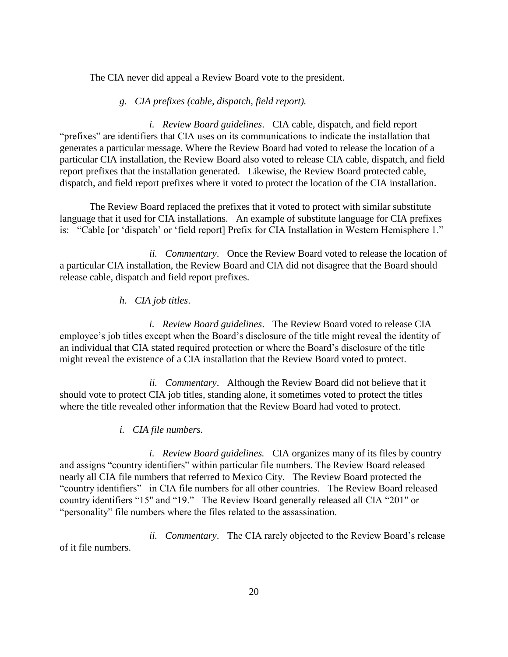The CIA never did appeal a Review Board vote to the president.

# *g. CIA prefixes (cable, dispatch, field report).*

*i. Review Board guidelines*. CIA cable, dispatch, and field report "prefixes" are identifiers that CIA uses on its communications to indicate the installation that generates a particular message. Where the Review Board had voted to release the location of a particular CIA installation, the Review Board also voted to release CIA cable, dispatch, and field report prefixes that the installation generated. Likewise, the Review Board protected cable, dispatch, and field report prefixes where it voted to protect the location of the CIA installation.

The Review Board replaced the prefixes that it voted to protect with similar substitute language that it used for CIA installations. An example of substitute language for CIA prefixes is: "Cable [or 'dispatch' or 'field report] Prefix for CIA Installation in Western Hemisphere 1."

*ii. Commentary*. Once the Review Board voted to release the location of a particular CIA installation, the Review Board and CIA did not disagree that the Board should release cable, dispatch and field report prefixes.

# *h. CIA job titles*.

*i. Review Board guidelines*. The Review Board voted to release CIA employee's job titles except when the Board's disclosure of the title might reveal the identity of an individual that CIA stated required protection or where the Board's disclosure of the title might reveal the existence of a CIA installation that the Review Board voted to protect.

*ii. Commentary*. Although the Review Board did not believe that it should vote to protect CIA job titles, standing alone, it sometimes voted to protect the titles where the title revealed other information that the Review Board had voted to protect.

# *i. CIA file numbers.*

*i. Review Board guidelines.* CIA organizes many of its files by country and assigns "country identifiers" within particular file numbers. The Review Board released nearly all CIA file numbers that referred to Mexico City. The Review Board protected the "country identifiers" in CIA file numbers for all other countries. The Review Board released country identifiers "15" and "19." The Review Board generally released all CIA "201" or "personality" file numbers where the files related to the assassination.

*ii. Commentary*. The CIA rarely objected to the Review Board's release of it file numbers.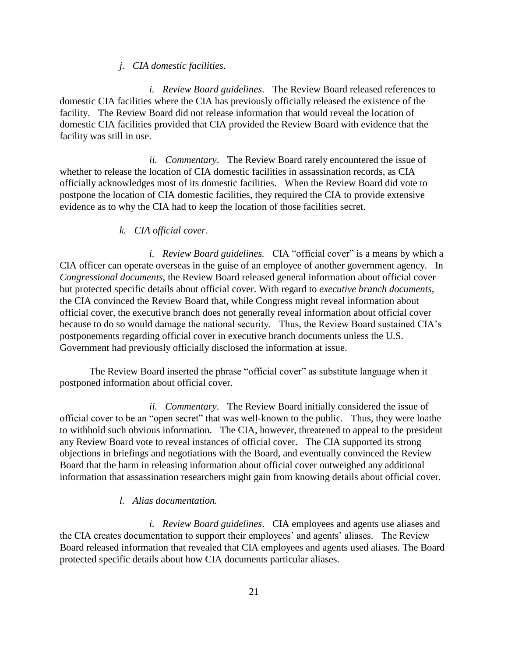### *j. CIA domestic facilities*.

*i. Review Board guidelines*. The Review Board released references to domestic CIA facilities where the CIA has previously officially released the existence of the facility. The Review Board did not release information that would reveal the location of domestic CIA facilities provided that CIA provided the Review Board with evidence that the facility was still in use.

*ii. Commentary*. The Review Board rarely encountered the issue of whether to release the location of CIA domestic facilities in assassination records, as CIA officially acknowledges most of its domestic facilities. When the Review Board did vote to postpone the location of CIA domestic facilities, they required the CIA to provide extensive evidence as to why the CIA had to keep the location of those facilities secret.

# *k. CIA official cover*.

*i. Review Board guidelines.* CIA "official cover" is a means by which a CIA officer can operate overseas in the guise of an employee of another government agency. In *Congressional documents*, the Review Board released general information about official cover but protected specific details about official cover. With regard to *executive branch documents,*  the CIA convinced the Review Board that, while Congress might reveal information about official cover, the executive branch does not generally reveal information about official cover because to do so would damage the national security. Thus, the Review Board sustained CIA's postponements regarding official cover in executive branch documents unless the U.S. Government had previously officially disclosed the information at issue.

The Review Board inserted the phrase "official cover" as substitute language when it postponed information about official cover.

*ii. Commentary*. The Review Board initially considered the issue of official cover to be an "open secret" that was well-known to the public. Thus, they were loathe to withhold such obvious information. The CIA, however, threatened to appeal to the president any Review Board vote to reveal instances of official cover. The CIA supported its strong objections in briefings and negotiations with the Board, and eventually convinced the Review Board that the harm in releasing information about official cover outweighed any additional information that assassination researchers might gain from knowing details about official cover.

#### *l. Alias documentation.*

*i. Review Board guidelines*. CIA employees and agents use aliases and the CIA creates documentation to support their employees' and agents' aliases. The Review Board released information that revealed that CIA employees and agents used aliases. The Board protected specific details about how CIA documents particular aliases.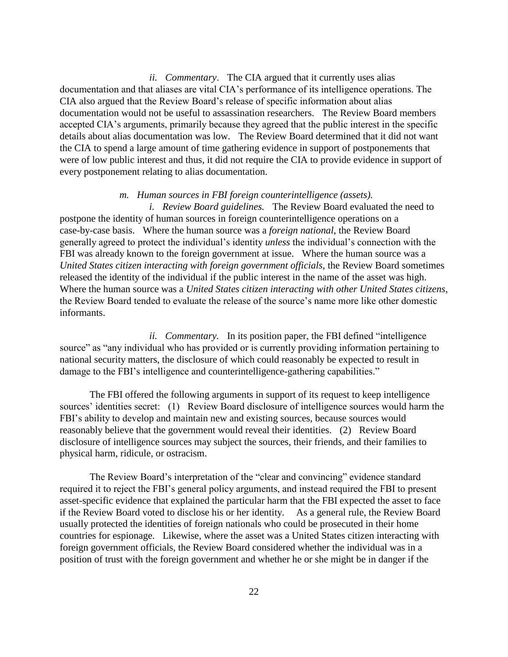*ii. Commentary*. The CIA argued that it currently uses alias documentation and that aliases are vital CIA's performance of its intelligence operations. The CIA also argued that the Review Board's release of specific information about alias documentation would not be useful to assassination researchers. The Review Board members accepted CIA's arguments, primarily because they agreed that the public interest in the specific details about alias documentation was low. The Review Board determined that it did not want the CIA to spend a large amount of time gathering evidence in support of postponements that were of low public interest and thus, it did not require the CIA to provide evidence in support of every postponement relating to alias documentation.

#### *m. Human sources in FBI foreign counterintelligence (assets).*

*i. Review Board guidelines.* The Review Board evaluated the need to postpone the identity of human sources in foreign counterintelligence operations on a case-by-case basis. Where the human source was a *foreign national*, the Review Board generally agreed to protect the individual's identity *unless* the individual's connection with the FBI was already known to the foreign government at issue. Where the human source was a *United States citizen interacting with foreign government officials,* the Review Board sometimes released the identity of the individual if the public interest in the name of the asset was high. Where the human source was a *United States citizen interacting with other United States citizens*, the Review Board tended to evaluate the release of the source's name more like other domestic informants.

*ii. Commentary.* In its position paper, the FBI defined "intelligence source" as "any individual who has provided or is currently providing information pertaining to national security matters, the disclosure of which could reasonably be expected to result in damage to the FBI's intelligence and counterintelligence-gathering capabilities."

The FBI offered the following arguments in support of its request to keep intelligence sources' identities secret: (1) Review Board disclosure of intelligence sources would harm the FBI's ability to develop and maintain new and existing sources, because sources would reasonably believe that the government would reveal their identities. (2) Review Board disclosure of intelligence sources may subject the sources, their friends, and their families to physical harm, ridicule, or ostracism.

The Review Board's interpretation of the "clear and convincing" evidence standard required it to reject the FBI's general policy arguments, and instead required the FBI to present asset-specific evidence that explained the particular harm that the FBI expected the asset to face if the Review Board voted to disclose his or her identity. As a general rule, the Review Board usually protected the identities of foreign nationals who could be prosecuted in their home countries for espionage. Likewise, where the asset was a United States citizen interacting with foreign government officials, the Review Board considered whether the individual was in a position of trust with the foreign government and whether he or she might be in danger if the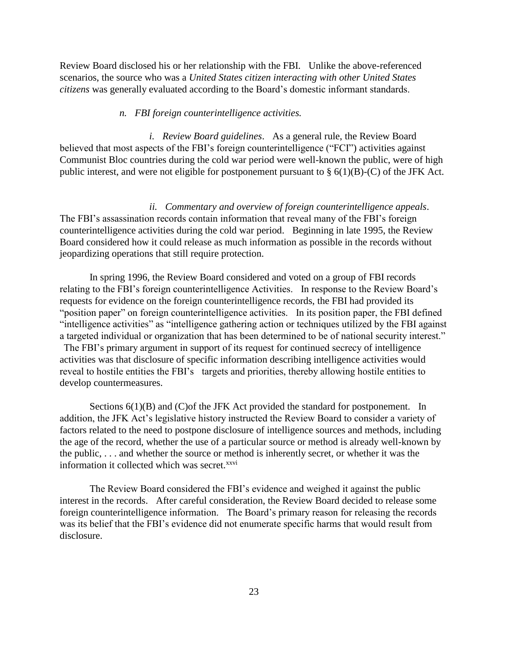Review Board disclosed his or her relationship with the FBI. Unlike the above-referenced scenarios, the source who was a *United States citizen interacting with other United States citizens* was generally evaluated according to the Board's domestic informant standards.

#### *n. FBI foreign counterintelligence activities.*

*i. Review Board guidelines*. As a general rule, the Review Board believed that most aspects of the FBI's foreign counterintelligence ("FCI") activities against Communist Bloc countries during the cold war period were well-known the public, were of high public interest, and were not eligible for postponement pursuant to  $\S(6(1)(B)-(C))$  of the JFK Act.

*ii. Commentary and overview of foreign counterintelligence appeals*. The FBI's assassination records contain information that reveal many of the FBI's foreign counterintelligence activities during the cold war period. Beginning in late 1995, the Review Board considered how it could release as much information as possible in the records without jeopardizing operations that still require protection.

In spring 1996, the Review Board considered and voted on a group of FBI records relating to the FBI's foreign counterintelligence Activities. In response to the Review Board's requests for evidence on the foreign counterintelligence records, the FBI had provided its "position paper" on foreign counterintelligence activities. In its position paper, the FBI defined "intelligence activities" as "intelligence gathering action or techniques utilized by the FBI against a targeted individual or organization that has been determined to be of national security interest."

The FBI's primary argument in support of its request for continued secrecy of intelligence activities was that disclosure of specific information describing intelligence activities would reveal to hostile entities the FBI's targets and priorities, thereby allowing hostile entities to develop countermeasures.

Sections  $6(1)(B)$  and  $(C)$  of the JFK Act provided the standard for postponement. In addition, the JFK Act's legislative history instructed the Review Board to consider a variety of factors related to the need to postpone disclosure of intelligence sources and methods, including the age of the record, whether the use of a particular source or method is already well-known by the public, . . . and whether the source or method is inherently secret, or whether it was the information it collected which was secret.<sup>xxvi</sup>

The Review Board considered the FBI's evidence and weighed it against the public interest in the records. After careful consideration, the Review Board decided to release some foreign counterintelligence information. The Board's primary reason for releasing the records was its belief that the FBI's evidence did not enumerate specific harms that would result from disclosure.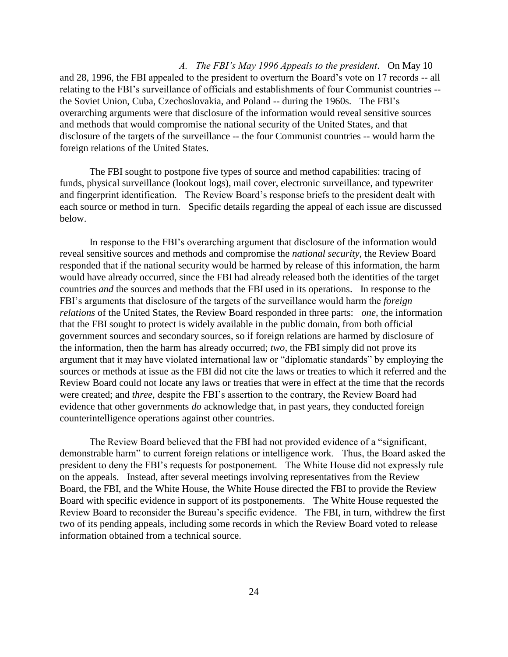*A. The FBI's May 1996 Appeals to the president*. On May 10 and 28, 1996, the FBI appealed to the president to overturn the Board's vote on 17 records -- all relating to the FBI's surveillance of officials and establishments of four Communist countries - the Soviet Union, Cuba, Czechoslovakia, and Poland -- during the 1960s. The FBI's overarching arguments were that disclosure of the information would reveal sensitive sources and methods that would compromise the national security of the United States, and that disclosure of the targets of the surveillance -- the four Communist countries -- would harm the foreign relations of the United States.

The FBI sought to postpone five types of source and method capabilities: tracing of funds, physical surveillance (lookout logs), mail cover, electronic surveillance, and typewriter and fingerprint identification. The Review Board's response briefs to the president dealt with each source or method in turn. Specific details regarding the appeal of each issue are discussed below.

In response to the FBI's overarching argument that disclosure of the information would reveal sensitive sources and methods and compromise the *national security*, the Review Board responded that if the national security would be harmed by release of this information, the harm would have already occurred, since the FBI had already released both the identities of the target countries *and* the sources and methods that the FBI used in its operations. In response to the FBI's arguments that disclosure of the targets of the surveillance would harm the *foreign relations* of the United States, the Review Board responded in three parts: *one,* the information that the FBI sought to protect is widely available in the public domain, from both official government sources and secondary sources, so if foreign relations are harmed by disclosure of the information, then the harm has already occurred; *two,* the FBI simply did not prove its argument that it may have violated international law or "diplomatic standards" by employing the sources or methods at issue as the FBI did not cite the laws or treaties to which it referred and the Review Board could not locate any laws or treaties that were in effect at the time that the records were created; and *three,* despite the FBI's assertion to the contrary, the Review Board had evidence that other governments *do* acknowledge that, in past years, they conducted foreign counterintelligence operations against other countries.

The Review Board believed that the FBI had not provided evidence of a "significant, demonstrable harm" to current foreign relations or intelligence work. Thus, the Board asked the president to deny the FBI's requests for postponement. The White House did not expressly rule on the appeals. Instead, after several meetings involving representatives from the Review Board, the FBI, and the White House, the White House directed the FBI to provide the Review Board with specific evidence in support of its postponements. The White House requested the Review Board to reconsider the Bureau's specific evidence. The FBI, in turn, withdrew the first two of its pending appeals, including some records in which the Review Board voted to release information obtained from a technical source.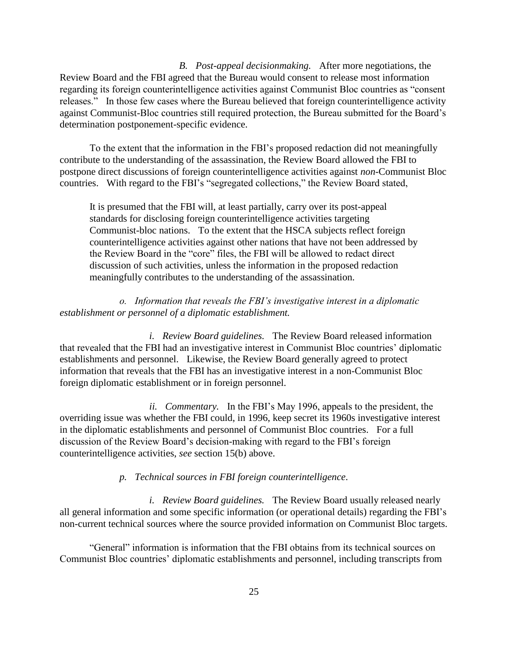*B. Post-appeal decisionmaking.* After more negotiations, the Review Board and the FBI agreed that the Bureau would consent to release most information regarding its foreign counterintelligence activities against Communist Bloc countries as "consent releases." In those few cases where the Bureau believed that foreign counterintelligence activity against Communist-Bloc countries still required protection, the Bureau submitted for the Board's determination postponement-specific evidence.

To the extent that the information in the FBI's proposed redaction did not meaningfully contribute to the understanding of the assassination, the Review Board allowed the FBI to postpone direct discussions of foreign counterintelligence activities against *non*-Communist Bloc countries. With regard to the FBI's "segregated collections," the Review Board stated,

It is presumed that the FBI will, at least partially, carry over its post-appeal standards for disclosing foreign counterintelligence activities targeting Communist-bloc nations. To the extent that the HSCA subjects reflect foreign counterintelligence activities against other nations that have not been addressed by the Review Board in the "core" files, the FBI will be allowed to redact direct discussion of such activities, unless the information in the proposed redaction meaningfully contributes to the understanding of the assassination.

*o. Information that reveals the FBI's investigative interest in a diplomatic establishment or personnel of a diplomatic establishment.*

*i. Review Board guidelines.* The Review Board released information that revealed that the FBI had an investigative interest in Communist Bloc countries' diplomatic establishments and personnel. Likewise, the Review Board generally agreed to protect information that reveals that the FBI has an investigative interest in a non-Communist Bloc foreign diplomatic establishment or in foreign personnel.

*ii. Commentary.* In the FBI's May 1996, appeals to the president, the overriding issue was whether the FBI could, in 1996, keep secret its 1960s investigative interest in the diplomatic establishments and personnel of Communist Bloc countries. For a full discussion of the Review Board's decision-making with regard to the FBI's foreign counterintelligence activities, *see* section 15(b) above.

*p. Technical sources in FBI foreign counterintelligence*.

*i. Review Board guidelines.* The Review Board usually released nearly all general information and some specific information (or operational details) regarding the FBI's non-current technical sources where the source provided information on Communist Bloc targets.

"General" information is information that the FBI obtains from its technical sources on Communist Bloc countries' diplomatic establishments and personnel, including transcripts from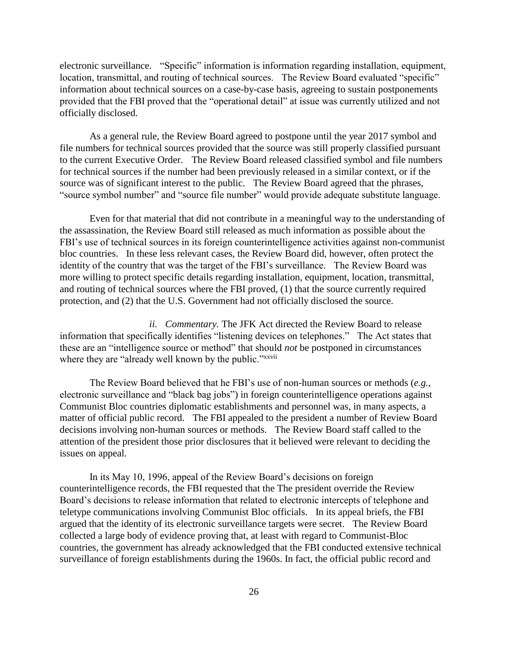electronic surveillance."Specific" information is information regarding installation, equipment, location, transmittal, and routing of technical sources. The Review Board evaluated "specific" information about technical sources on a case-by-case basis, agreeing to sustain postponements provided that the FBI proved that the "operational detail" at issue was currently utilized and not officially disclosed.

As a general rule, the Review Board agreed to postpone until the year 2017 symbol and file numbers for technical sources provided that the source was still properly classified pursuant to the current Executive Order.The Review Board released classified symbol and file numbers for technical sources if the number had been previously released in a similar context, or if the source was of significant interest to the public. The Review Board agreed that the phrases, "source symbol number" and "source file number" would provide adequate substitute language.

Even for that material that did not contribute in a meaningful way to the understanding of the assassination, the Review Board still released as much information as possible about the FBI's use of technical sources in its foreign counterintelligence activities against non-communist bloc countries. In these less relevant cases, the Review Board did, however, often protect the identity of the country that was the target of the FBI's surveillance. The Review Board was more willing to protect specific details regarding installation, equipment, location, transmittal, and routing of technical sources where the FBI proved, (1) that the source currently required protection, and (2) that the U.S. Government had not officially disclosed the source.

*ii. Commentary.* The JFK Act directed the Review Board to release information that specifically identifies "listening devices on telephones." The Act states that these are an "intelligence source or method" that should *not* be postponed in circumstances where they are "already well known by the public."*xxvii* 

The Review Board believed that he FBI's use of non-human sources or methods (*e.g.,*  electronic surveillance and "black bag jobs") in foreign counterintelligence operations against Communist Bloc countries diplomatic establishments and personnel was, in many aspects, a matter of official public record. The FBI appealed to the president a number of Review Board decisions involving non-human sources or methods. The Review Board staff called to the attention of the president those prior disclosures that it believed were relevant to deciding the issues on appeal.

In its May 10, 1996, appeal of the Review Board's decisions on foreign counterintelligence records, the FBI requested that the The president override the Review Board's decisions to release information that related to electronic intercepts of telephone and teletype communications involving Communist Bloc officials. In its appeal briefs, the FBI argued that the identity of its electronic surveillance targets were secret. The Review Board collected a large body of evidence proving that, at least with regard to Communist-Bloc countries, the government has already acknowledged that the FBI conducted extensive technical surveillance of foreign establishments during the 1960s. In fact, the official public record and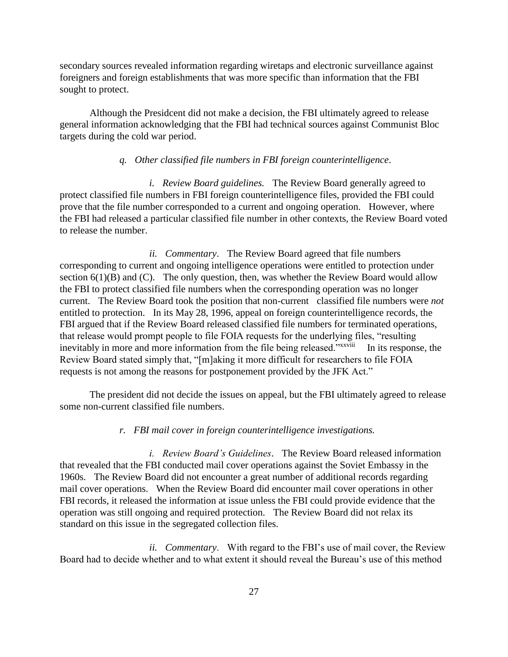secondary sources revealed information regarding wiretaps and electronic surveillance against foreigners and foreign establishments that was more specific than information that the FBI sought to protect.

Although the Presidcent did not make a decision, the FBI ultimately agreed to release general information acknowledging that the FBI had technical sources against Communist Bloc targets during the cold war period.

# *q. Other classified file numbers in FBI foreign counterintelligence*.

*i. Review Board guidelines.* The Review Board generally agreed to protect classified file numbers in FBI foreign counterintelligence files, provided the FBI could prove that the file number corresponded to a current and ongoing operation. However, where the FBI had released a particular classified file number in other contexts, the Review Board voted to release the number.

*ii. Commentary*. The Review Board agreed that file numbers corresponding to current and ongoing intelligence operations were entitled to protection under section  $6(1)(B)$  and  $(C)$ . The only question, then, was whether the Review Board would allow the FBI to protect classified file numbers when the corresponding operation was no longer current. The Review Board took the position that non-current classified file numbers were *not* entitled to protection. In its May 28, 1996, appeal on foreign counterintelligence records, the FBI argued that if the Review Board released classified file numbers for terminated operations, that release would prompt people to file FOIA requests for the underlying files, "resulting inevitably in more and more information from the file being released."<sup>xxxviii</sup> In its response, the Review Board stated simply that, "[m]aking it more difficult for researchers to file FOIA requests is not among the reasons for postponement provided by the JFK Act."

The president did not decide the issues on appeal, but the FBI ultimately agreed to release some non-current classified file numbers.

# *r. FBI mail cover in foreign counterintelligence investigations.*

*i. Review Board's Guidelines*. The Review Board released information that revealed that the FBI conducted mail cover operations against the Soviet Embassy in the 1960s. The Review Board did not encounter a great number of additional records regarding mail cover operations. When the Review Board did encounter mail cover operations in other FBI records, it released the information at issue unless the FBI could provide evidence that the operation was still ongoing and required protection. The Review Board did not relax its standard on this issue in the segregated collection files.

*ii. Commentary*. With regard to the FBI's use of mail cover, the Review Board had to decide whether and to what extent it should reveal the Bureau's use of this method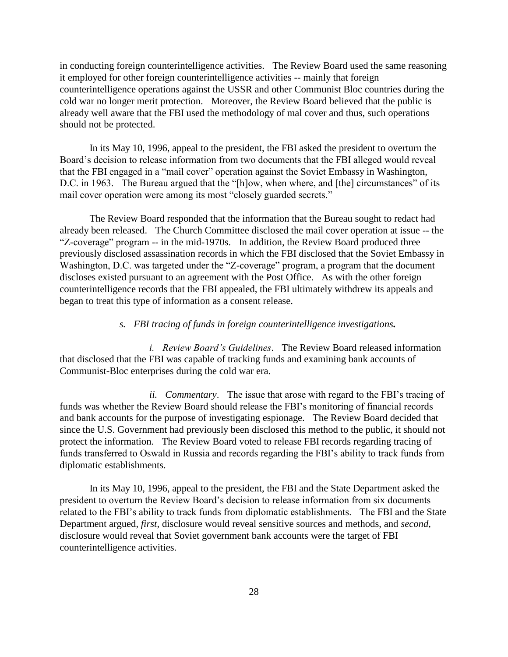in conducting foreign counterintelligence activities. The Review Board used the same reasoning it employed for other foreign counterintelligence activities -- mainly that foreign counterintelligence operations against the USSR and other Communist Bloc countries during the cold war no longer merit protection. Moreover, the Review Board believed that the public is already well aware that the FBI used the methodology of mal cover and thus, such operations should not be protected.

In its May 10, 1996, appeal to the president, the FBI asked the president to overturn the Board's decision to release information from two documents that the FBI alleged would reveal that the FBI engaged in a "mail cover" operation against the Soviet Embassy in Washington, D.C. in 1963. The Bureau argued that the "[h]ow, when where, and [the] circumstances" of its mail cover operation were among its most "closely guarded secrets."

The Review Board responded that the information that the Bureau sought to redact had already been released. The Church Committee disclosed the mail cover operation at issue -- the "Z-coverage" program -- in the mid-1970s. In addition, the Review Board produced three previously disclosed assassination records in which the FBI disclosed that the Soviet Embassy in Washington, D.C. was targeted under the "Z-coverage" program, a program that the document discloses existed pursuant to an agreement with the Post Office. As with the other foreign counterintelligence records that the FBI appealed, the FBI ultimately withdrew its appeals and began to treat this type of information as a consent release.

# *s. FBI tracing of funds in foreign counterintelligence investigations.*

*i. Review Board's Guidelines*. The Review Board released information that disclosed that the FBI was capable of tracking funds and examining bank accounts of Communist-Bloc enterprises during the cold war era.

*ii. Commentary*. The issue that arose with regard to the FBI's tracing of funds was whether the Review Board should release the FBI's monitoring of financial records and bank accounts for the purpose of investigating espionage. The Review Board decided that since the U.S. Government had previously been disclosed this method to the public, it should not protect the information. The Review Board voted to release FBI records regarding tracing of funds transferred to Oswald in Russia and records regarding the FBI's ability to track funds from diplomatic establishments.

In its May 10, 1996, appeal to the president, the FBI and the State Department asked the president to overturn the Review Board's decision to release information from six documents related to the FBI's ability to track funds from diplomatic establishments. The FBI and the State Department argued, *first*, disclosure would reveal sensitive sources and methods, and *second,* disclosure would reveal that Soviet government bank accounts were the target of FBI counterintelligence activities.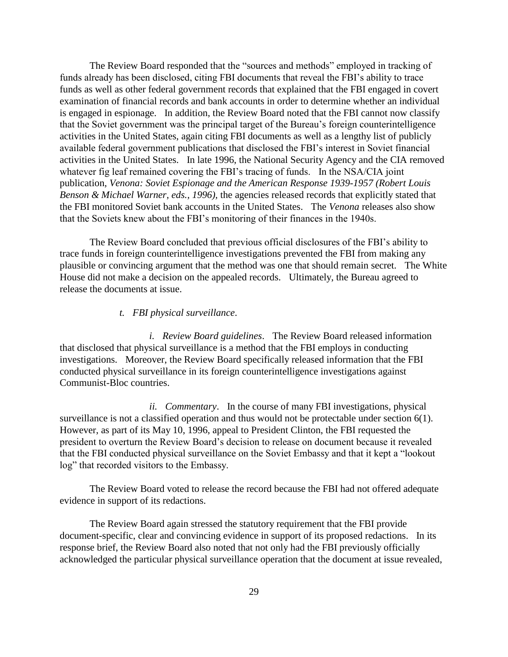The Review Board responded that the "sources and methods" employed in tracking of funds already has been disclosed, citing FBI documents that reveal the FBI's ability to trace funds as well as other federal government records that explained that the FBI engaged in covert examination of financial records and bank accounts in order to determine whether an individual is engaged in espionage. In addition, the Review Board noted that the FBI cannot now classify that the Soviet government was the principal target of the Bureau's foreign counterintelligence activities in the United States, again citing FBI documents as well as a lengthy list of publicly available federal government publications that disclosed the FBI's interest in Soviet financial activities in the United States. In late 1996, the National Security Agency and the CIA removed whatever fig leaf remained covering the FBI's tracing of funds. In the NSA/CIA joint publication, *Venona: Soviet Espionage and the American Response 1939-1957 (Robert Louis Benson & Michael Warner, eds., 1996),* the agencies released records that explicitly stated that the FBI monitored Soviet bank accounts in the United States. The *Venona* releases also show that the Soviets knew about the FBI's monitoring of their finances in the 1940s.

The Review Board concluded that previous official disclosures of the FBI's ability to trace funds in foreign counterintelligence investigations prevented the FBI from making any plausible or convincing argument that the method was one that should remain secret. The White House did not make a decision on the appealed records. Ultimately, the Bureau agreed to release the documents at issue.

# *t. FBI physical surveillance*.

*i. Review Board guidelines*. The Review Board released information that disclosed that physical surveillance is a method that the FBI employs in conducting investigations. Moreover, the Review Board specifically released information that the FBI conducted physical surveillance in its foreign counterintelligence investigations against Communist-Bloc countries.

*ii. Commentary*. In the course of many FBI investigations, physical surveillance is not a classified operation and thus would not be protectable under section 6(1). However, as part of its May 10, 1996, appeal to President Clinton, the FBI requested the president to overturn the Review Board's decision to release on document because it revealed that the FBI conducted physical surveillance on the Soviet Embassy and that it kept a "lookout log" that recorded visitors to the Embassy.

The Review Board voted to release the record because the FBI had not offered adequate evidence in support of its redactions.

The Review Board again stressed the statutory requirement that the FBI provide document-specific, clear and convincing evidence in support of its proposed redactions. In its response brief, the Review Board also noted that not only had the FBI previously officially acknowledged the particular physical surveillance operation that the document at issue revealed,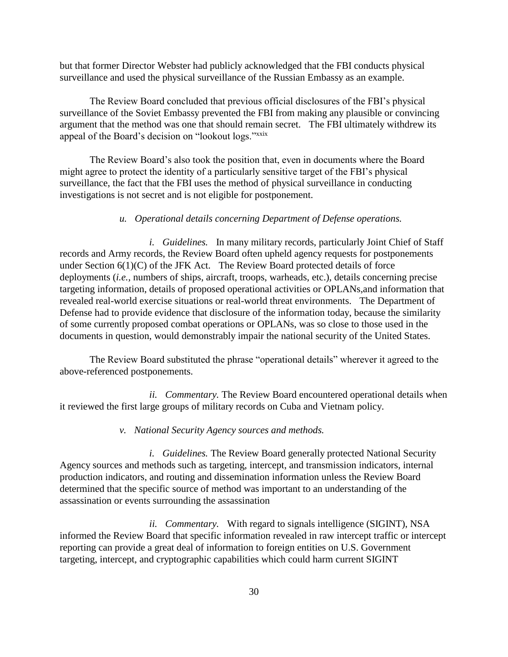but that former Director Webster had publicly acknowledged that the FBI conducts physical surveillance and used the physical surveillance of the Russian Embassy as an example.

The Review Board concluded that previous official disclosures of the FBI's physical surveillance of the Soviet Embassy prevented the FBI from making any plausible or convincing argument that the method was one that should remain secret. The FBI ultimately withdrew its appeal of the Board's decision on "lookout logs."<sup>xxix</sup>

The Review Board's also took the position that, even in documents where the Board might agree to protect the identity of a particularly sensitive target of the FBI's physical surveillance, the fact that the FBI uses the method of physical surveillance in conducting investigations is not secret and is not eligible for postponement.

# *u. Operational details concerning Department of Defense operations.*

*i. Guidelines.* In many military records, particularly Joint Chief of Staff records and Army records, the Review Board often upheld agency requests for postponements under Section 6(1)(C) of the JFK Act. The Review Board protected details of force deployments (*i.e.,* numbers of ships, aircraft, troops, warheads, etc.), details concerning precise targeting information, details of proposed operational activities or OPLANs,and information that revealed real-world exercise situations or real-world threat environments. The Department of Defense had to provide evidence that disclosure of the information today, because the similarity of some currently proposed combat operations or OPLANs, was so close to those used in the documents in question, would demonstrably impair the national security of the United States.

The Review Board substituted the phrase "operational details" wherever it agreed to the above-referenced postponements.

*ii. Commentary.* The Review Board encountered operational details when it reviewed the first large groups of military records on Cuba and Vietnam policy.

### *v. National Security Agency sources and methods.*

*i. Guidelines.* The Review Board generally protected National Security Agency sources and methods such as targeting, intercept, and transmission indicators, internal production indicators, and routing and dissemination information unless the Review Board determined that the specific source of method was important to an understanding of the assassination or events surrounding the assassination

*ii. Commentary.* With regard to signals intelligence (SIGINT), NSA informed the Review Board that specific information revealed in raw intercept traffic or intercept reporting can provide a great deal of information to foreign entities on U.S. Government targeting, intercept, and cryptographic capabilities which could harm current SIGINT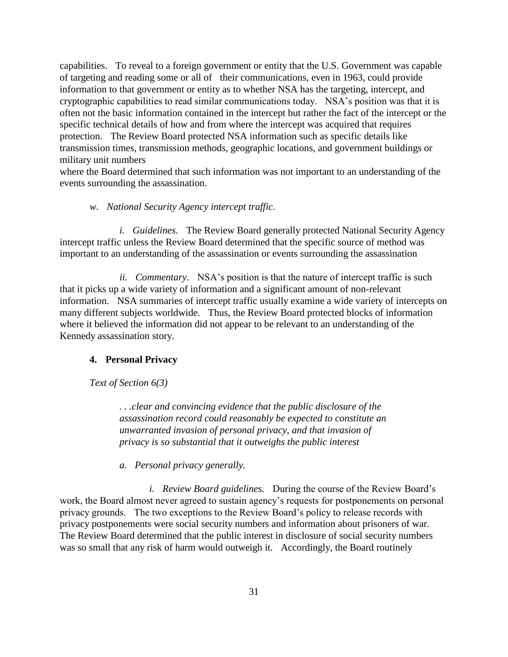capabilities. To reveal to a foreign government or entity that the U.S. Government was capable of targeting and reading some or all of their communications, even in 1963, could provide information to that government or entity as to whether NSA has the targeting, intercept, and cryptographic capabilities to read similar communications today. NSA's position was that it is often not the basic information contained in the intercept but rather the fact of the intercept or the specific technical details of how and from where the intercept was acquired that requires protection. The Review Board protected NSA information such as specific details like transmission times, transmission methods, geographic locations, and government buildings or military unit numbers

where the Board determined that such information was not important to an understanding of the events surrounding the assassination.

# *w. National Security Agency intercept traffic.*

*i. Guidelines.* The Review Board generally protected National Security Agency intercept traffic unless the Review Board determined that the specific source of method was important to an understanding of the assassination or events surrounding the assassination

*ii. Commentary.* NSA's position is that the nature of intercept traffic is such that it picks up a wide variety of information and a significant amount of non-relevant information. NSA summaries of intercept traffic usually examine a wide variety of intercepts on many different subjects worldwide. Thus, the Review Board protected blocks of information where it believed the information did not appear to be relevant to an understanding of the Kennedy assassination story.

#### **4. Personal Privacy**

*Text of Section 6(3)*

*. . .clear and convincing evidence that the public disclosure of the assassination record could reasonably be expected to constitute an unwarranted invasion of personal privacy, and that invasion of privacy is so substantial that it outweighs the public interest*

*a. Personal privacy generally.*

*i. Review Board guidelines.* During the course of the Review Board's work, the Board almost never agreed to sustain agency's requests for postponements on personal privacy grounds. The two exceptions to the Review Board's policy to release records with privacy postponements were social security numbers and information about prisoners of war. The Review Board determined that the public interest in disclosure of social security numbers was so small that any risk of harm would outweigh it. Accordingly, the Board routinely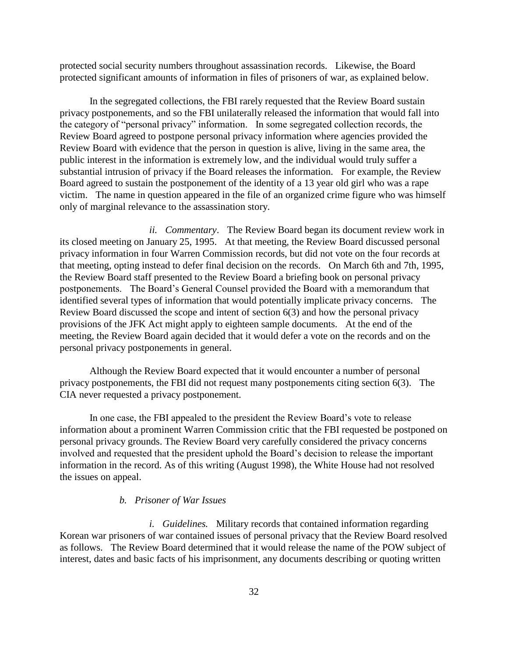protected social security numbers throughout assassination records. Likewise, the Board protected significant amounts of information in files of prisoners of war, as explained below.

In the segregated collections, the FBI rarely requested that the Review Board sustain privacy postponements, and so the FBI unilaterally released the information that would fall into the category of "personal privacy" information. In some segregated collection records, the Review Board agreed to postpone personal privacy information where agencies provided the Review Board with evidence that the person in question is alive, living in the same area, the public interest in the information is extremely low, and the individual would truly suffer a substantial intrusion of privacy if the Board releases the information. For example, the Review Board agreed to sustain the postponement of the identity of a 13 year old girl who was a rape victim. The name in question appeared in the file of an organized crime figure who was himself only of marginal relevance to the assassination story.

*ii. Commentary*. The Review Board began its document review work in its closed meeting on January 25, 1995. At that meeting, the Review Board discussed personal privacy information in four Warren Commission records, but did not vote on the four records at that meeting, opting instead to defer final decision on the records. On March 6th and 7th, 1995, the Review Board staff presented to the Review Board a briefing book on personal privacy postponements. The Board's General Counsel provided the Board with a memorandum that identified several types of information that would potentially implicate privacy concerns. The Review Board discussed the scope and intent of section 6(3) and how the personal privacy provisions of the JFK Act might apply to eighteen sample documents. At the end of the meeting, the Review Board again decided that it would defer a vote on the records and on the personal privacy postponements in general.

Although the Review Board expected that it would encounter a number of personal privacy postponements, the FBI did not request many postponements citing section 6(3). The CIA never requested a privacy postponement.

In one case, the FBI appealed to the president the Review Board's vote to release information about a prominent Warren Commission critic that the FBI requested be postponed on personal privacy grounds. The Review Board very carefully considered the privacy concerns involved and requested that the president uphold the Board's decision to release the important information in the record. As of this writing (August 1998), the White House had not resolved the issues on appeal.

#### *b. Prisoner of War Issues*

*i. Guidelines.* Military records that contained information regarding Korean war prisoners of war contained issues of personal privacy that the Review Board resolved as follows. The Review Board determined that it would release the name of the POW subject of interest, dates and basic facts of his imprisonment, any documents describing or quoting written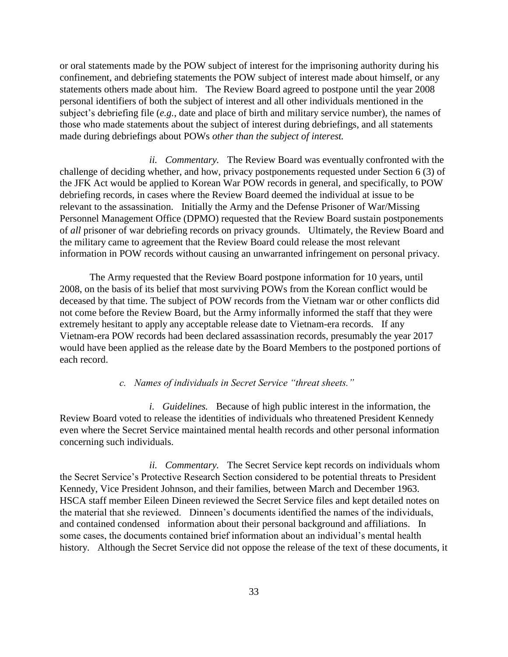or oral statements made by the POW subject of interest for the imprisoning authority during his confinement, and debriefing statements the POW subject of interest made about himself, or any statements others made about him. The Review Board agreed to postpone until the year 2008 personal identifiers of both the subject of interest and all other individuals mentioned in the subject's debriefing file (*e.g.*, date and place of birth and military service number), the names of those who made statements about the subject of interest during debriefings, and all statements made during debriefings about POWs *other than the subject of interest.*

*ii. Commentary.* The Review Board was eventually confronted with the challenge of deciding whether, and how, privacy postponements requested under Section 6 (3) of the JFK Act would be applied to Korean War POW records in general, and specifically, to POW debriefing records, in cases where the Review Board deemed the individual at issue to be relevant to the assassination. Initially the Army and the Defense Prisoner of War/Missing Personnel Management Office (DPMO) requested that the Review Board sustain postponements of *all* prisoner of war debriefing records on privacy grounds. Ultimately, the Review Board and the military came to agreement that the Review Board could release the most relevant information in POW records without causing an unwarranted infringement on personal privacy.

The Army requested that the Review Board postpone information for 10 years, until 2008, on the basis of its belief that most surviving POWs from the Korean conflict would be deceased by that time. The subject of POW records from the Vietnam war or other conflicts did not come before the Review Board, but the Army informally informed the staff that they were extremely hesitant to apply any acceptable release date to Vietnam-era records. If any Vietnam-era POW records had been declared assassination records, presumably the year 2017 would have been applied as the release date by the Board Members to the postponed portions of each record.

# *c. Names of individuals in Secret Service "threat sheets."*

*i. Guidelines.* Because of high public interest in the information, the Review Board voted to release the identities of individuals who threatened President Kennedy even where the Secret Service maintained mental health records and other personal information concerning such individuals.

*ii. Commentary.* The Secret Service kept records on individuals whom the Secret Service's Protective Research Section considered to be potential threats to President Kennedy, Vice President Johnson, and their families, between March and December 1963. HSCA staff member Eileen Dineen reviewed the Secret Service files and kept detailed notes on the material that she reviewed. Dinneen's documents identified the names of the individuals, and contained condensed information about their personal background and affiliations. In some cases, the documents contained brief information about an individual's mental health history. Although the Secret Service did not oppose the release of the text of these documents, it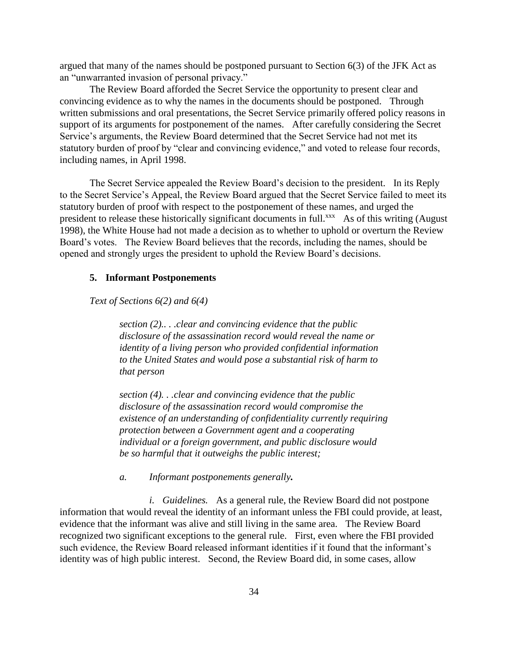argued that many of the names should be postponed pursuant to Section 6(3) of the JFK Act as an "unwarranted invasion of personal privacy."

The Review Board afforded the Secret Service the opportunity to present clear and convincing evidence as to why the names in the documents should be postponed. Through written submissions and oral presentations, the Secret Service primarily offered policy reasons in support of its arguments for postponement of the names. After carefully considering the Secret Service's arguments, the Review Board determined that the Secret Service had not met its statutory burden of proof by "clear and convincing evidence," and voted to release four records, including names, in April 1998.

The Secret Service appealed the Review Board's decision to the president. In its Reply to the Secret Service's Appeal, the Review Board argued that the Secret Service failed to meet its statutory burden of proof with respect to the postponement of these names, and urged the president to release these historically significant documents in full.<sup>xxx</sup> As of this writing (August 1998), the White House had not made a decision as to whether to uphold or overturn the Review Board's votes. The Review Board believes that the records, including the names, should be opened and strongly urges the president to uphold the Review Board's decisions.

#### **5. Informant Postponements**

*Text of Sections 6(2) and 6(4)*

*section (2).. . .clear and convincing evidence that the public disclosure of the assassination record would reveal the name or identity of a living person who provided confidential information to the United States and would pose a substantial risk of harm to that person*

*section (4). . .clear and convincing evidence that the public disclosure of the assassination record would compromise the existence of an understanding of confidentiality currently requiring protection between a Government agent and a cooperating individual or a foreign government, and public disclosure would be so harmful that it outweighs the public interest;*

*a. Informant postponements generally.*

*i. Guidelines.* As a general rule, the Review Board did not postpone information that would reveal the identity of an informant unless the FBI could provide, at least, evidence that the informant was alive and still living in the same area. The Review Board recognized two significant exceptions to the general rule. First, even where the FBI provided such evidence, the Review Board released informant identities if it found that the informant's identity was of high public interest. Second, the Review Board did, in some cases, allow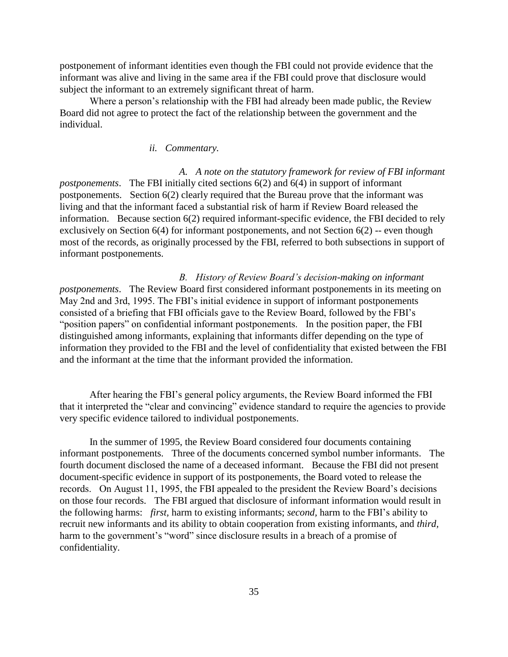postponement of informant identities even though the FBI could not provide evidence that the informant was alive and living in the same area if the FBI could prove that disclosure would subject the informant to an extremely significant threat of harm.

Where a person's relationship with the FBI had already been made public, the Review Board did not agree to protect the fact of the relationship between the government and the individual.

# *ii. Commentary.*

*A. A note on the statutory framework for review of FBI informant postponements*. The FBI initially cited sections 6(2) and 6(4) in support of informant postponements. Section 6(2) clearly required that the Bureau prove that the informant was living and that the informant faced a substantial risk of harm if Review Board released the information. Because section 6(2) required informant-specific evidence, the FBI decided to rely exclusively on Section 6(4) for informant postponements, and not Section 6(2) -- even though most of the records, as originally processed by the FBI, referred to both subsections in support of informant postponements.

*B. History of Review Board's decision-making on informant postponements*. The Review Board first considered informant postponements in its meeting on May 2nd and 3rd, 1995. The FBI's initial evidence in support of informant postponements consisted of a briefing that FBI officials gave to the Review Board, followed by the FBI's "position papers" on confidential informant postponements. In the position paper, the FBI distinguished among informants, explaining that informants differ depending on the type of information they provided to the FBI and the level of confidentiality that existed between the FBI and the informant at the time that the informant provided the information.

After hearing the FBI's general policy arguments, the Review Board informed the FBI that it interpreted the "clear and convincing" evidence standard to require the agencies to provide very specific evidence tailored to individual postponements.

In the summer of 1995, the Review Board considered four documents containing informant postponements. Three of the documents concerned symbol number informants. The fourth document disclosed the name of a deceased informant. Because the FBI did not present document-specific evidence in support of its postponements, the Board voted to release the records. On August 11, 1995, the FBI appealed to the president the Review Board's decisions on those four records. The FBI argued that disclosure of informant information would result in the following harms: *first,* harm to existing informants; *second,* harm to the FBI's ability to recruit new informants and its ability to obtain cooperation from existing informants, and *third,*  harm to the government's "word" since disclosure results in a breach of a promise of confidentiality.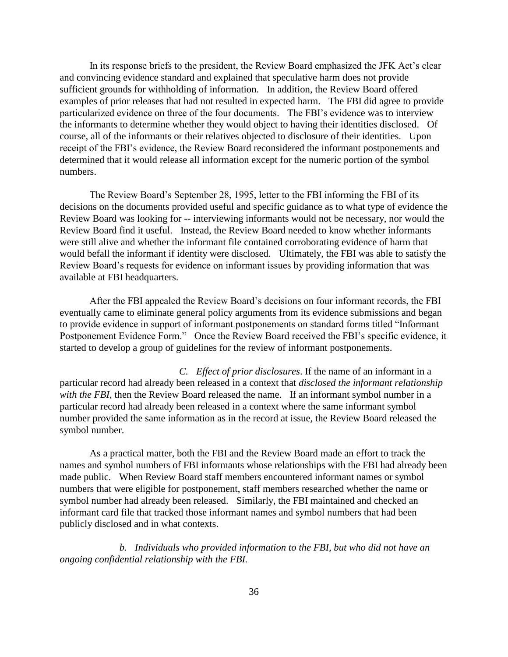In its response briefs to the president, the Review Board emphasized the JFK Act's clear and convincing evidence standard and explained that speculative harm does not provide sufficient grounds for withholding of information. In addition, the Review Board offered examples of prior releases that had not resulted in expected harm. The FBI did agree to provide particularized evidence on three of the four documents. The FBI's evidence was to interview the informants to determine whether they would object to having their identities disclosed. Of course, all of the informants or their relatives objected to disclosure of their identities. Upon receipt of the FBI's evidence, the Review Board reconsidered the informant postponements and determined that it would release all information except for the numeric portion of the symbol numbers.

The Review Board's September 28, 1995, letter to the FBI informing the FBI of its decisions on the documents provided useful and specific guidance as to what type of evidence the Review Board was looking for -- interviewing informants would not be necessary, nor would the Review Board find it useful. Instead, the Review Board needed to know whether informants were still alive and whether the informant file contained corroborating evidence of harm that would befall the informant if identity were disclosed. Ultimately, the FBI was able to satisfy the Review Board's requests for evidence on informant issues by providing information that was available at FBI headquarters.

After the FBI appealed the Review Board's decisions on four informant records, the FBI eventually came to eliminate general policy arguments from its evidence submissions and began to provide evidence in support of informant postponements on standard forms titled "Informant Postponement Evidence Form." Once the Review Board received the FBI's specific evidence, it started to develop a group of guidelines for the review of informant postponements.

*C. Effect of prior disclosures*. If the name of an informant in a particular record had already been released in a context that *disclosed the informant relationship with the FBI*, then the Review Board released the name. If an informant symbol number in a particular record had already been released in a context where the same informant symbol number provided the same information as in the record at issue, the Review Board released the symbol number.

As a practical matter, both the FBI and the Review Board made an effort to track the names and symbol numbers of FBI informants whose relationships with the FBI had already been made public. When Review Board staff members encountered informant names or symbol numbers that were eligible for postponement, staff members researched whether the name or symbol number had already been released. Similarly, the FBI maintained and checked an informant card file that tracked those informant names and symbol numbers that had been publicly disclosed and in what contexts.

*b. Individuals who provided information to the FBI, but who did not have an ongoing confidential relationship with the FBI.*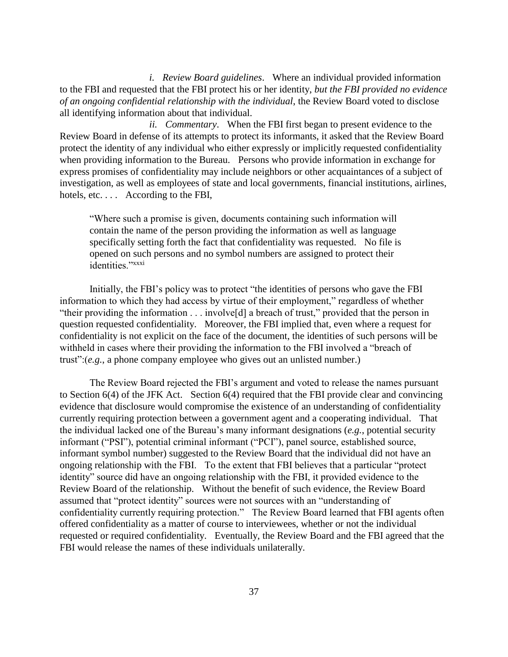*i. Review Board guidelines*. Where an individual provided information to the FBI and requested that the FBI protect his or her identity, *but the FBI provided no evidence of an ongoing confidential relationship with the individual*, the Review Board voted to disclose all identifying information about that individual.

*ii. Commentary*. When the FBI first began to present evidence to the Review Board in defense of its attempts to protect its informants, it asked that the Review Board protect the identity of any individual who either expressly or implicitly requested confidentiality when providing information to the Bureau. Persons who provide information in exchange for express promises of confidentiality may include neighbors or other acquaintances of a subject of investigation, as well as employees of state and local governments, financial institutions, airlines, hotels, etc. . . . According to the FBI,

"Where such a promise is given, documents containing such information will contain the name of the person providing the information as well as language specifically setting forth the fact that confidentiality was requested. No file is opened on such persons and no symbol numbers are assigned to protect their identities."xxxi

Initially, the FBI's policy was to protect "the identities of persons who gave the FBI information to which they had access by virtue of their employment," regardless of whether "their providing the information . . . involve[d] a breach of trust," provided that the person in question requested confidentiality. Moreover, the FBI implied that, even where a request for confidentiality is not explicit on the face of the document, the identities of such persons will be withheld in cases where their providing the information to the FBI involved a "breach of trust":(*e.g.*, a phone company employee who gives out an unlisted number.)

The Review Board rejected the FBI's argument and voted to release the names pursuant to Section 6(4) of the JFK Act. Section 6(4) required that the FBI provide clear and convincing evidence that disclosure would compromise the existence of an understanding of confidentiality currently requiring protection between a government agent and a cooperating individual. That the individual lacked one of the Bureau's many informant designations (*e.g.*, potential security informant ("PSI"), potential criminal informant ("PCI"), panel source, established source, informant symbol number) suggested to the Review Board that the individual did not have an ongoing relationship with the FBI. To the extent that FBI believes that a particular "protect identity" source did have an ongoing relationship with the FBI, it provided evidence to the Review Board of the relationship. Without the benefit of such evidence, the Review Board assumed that "protect identity" sources were not sources with an "understanding of confidentiality currently requiring protection." The Review Board learned that FBI agents often offered confidentiality as a matter of course to interviewees, whether or not the individual requested or required confidentiality. Eventually, the Review Board and the FBI agreed that the FBI would release the names of these individuals unilaterally.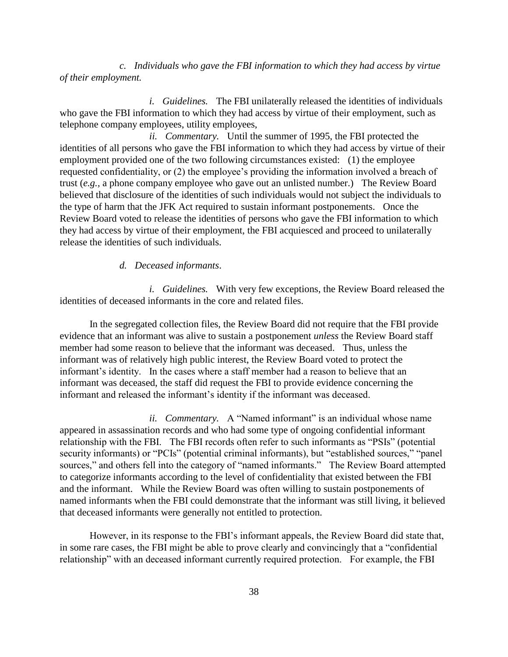*c. Individuals who gave the FBI information to which they had access by virtue of their employment.*

*i. Guidelines.* The FBI unilaterally released the identities of individuals who gave the FBI information to which they had access by virtue of their employment, such as telephone company employees, utility employees,

*ii. Commentary.* Until the summer of 1995, the FBI protected the identities of all persons who gave the FBI information to which they had access by virtue of their employment provided one of the two following circumstances existed: (1) the employee requested confidentiality, or (2) the employee's providing the information involved a breach of trust (*e.g.,* a phone company employee who gave out an unlisted number.) The Review Board believed that disclosure of the identities of such individuals would not subject the individuals to the type of harm that the JFK Act required to sustain informant postponements. Once the Review Board voted to release the identities of persons who gave the FBI information to which they had access by virtue of their employment, the FBI acquiesced and proceed to unilaterally release the identities of such individuals.

# *d. Deceased informants*.

*i. Guidelines.* With very few exceptions, the Review Board released the identities of deceased informants in the core and related files.

In the segregated collection files, the Review Board did not require that the FBI provide evidence that an informant was alive to sustain a postponement *unless* the Review Board staff member had some reason to believe that the informant was deceased. Thus, unless the informant was of relatively high public interest, the Review Board voted to protect the informant's identity. In the cases where a staff member had a reason to believe that an informant was deceased, the staff did request the FBI to provide evidence concerning the informant and released the informant's identity if the informant was deceased.

*ii. Commentary.* A "Named informant" is an individual whose name appeared in assassination records and who had some type of ongoing confidential informant relationship with the FBI. The FBI records often refer to such informants as "PSIs" (potential security informants) or "PCIs" (potential criminal informants), but "established sources," "panel sources," and others fell into the category of "named informants." The Review Board attempted to categorize informants according to the level of confidentiality that existed between the FBI and the informant. While the Review Board was often willing to sustain postponements of named informants when the FBI could demonstrate that the informant was still living, it believed that deceased informants were generally not entitled to protection.

However, in its response to the FBI's informant appeals, the Review Board did state that, in some rare cases, the FBI might be able to prove clearly and convincingly that a "confidential relationship" with an deceased informant currently required protection. For example, the FBI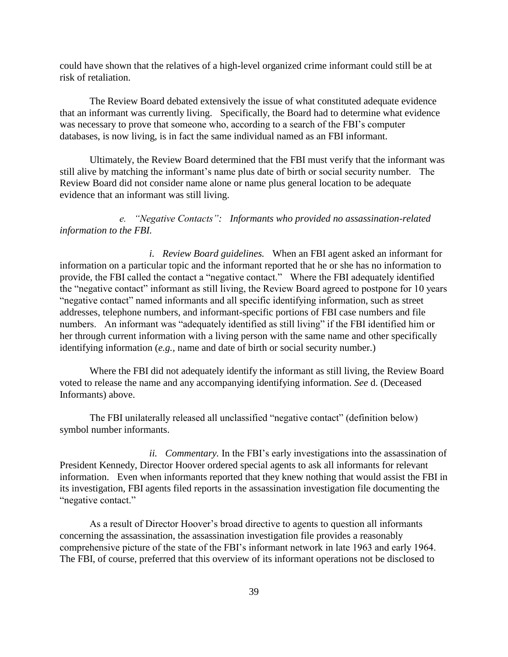could have shown that the relatives of a high-level organized crime informant could still be at risk of retaliation.

The Review Board debated extensively the issue of what constituted adequate evidence that an informant was currently living. Specifically, the Board had to determine what evidence was necessary to prove that someone who, according to a search of the FBI's computer databases, is now living, is in fact the same individual named as an FBI informant.

Ultimately, the Review Board determined that the FBI must verify that the informant was still alive by matching the informant's name plus date of birth or social security number. The Review Board did not consider name alone or name plus general location to be adequate evidence that an informant was still living.

*e. "Negative Contacts": Informants who provided no assassination-related information to the FBI.*

*i. Review Board guidelines.* When an FBI agent asked an informant for information on a particular topic and the informant reported that he or she has no information to provide, the FBI called the contact a "negative contact." Where the FBI adequately identified the "negative contact" informant as still living, the Review Board agreed to postpone for 10 years "negative contact" named informants and all specific identifying information, such as street addresses, telephone numbers, and informant-specific portions of FBI case numbers and file numbers. An informant was "adequately identified as still living" if the FBI identified him or her through current information with a living person with the same name and other specifically identifying information (*e.g.,* name and date of birth or social security number.)

Where the FBI did not adequately identify the informant as still living, the Review Board voted to release the name and any accompanying identifying information. *See* d. (Deceased Informants) above.

The FBI unilaterally released all unclassified "negative contact" (definition below) symbol number informants.

*ii. Commentary.* In the FBI's early investigations into the assassination of President Kennedy, Director Hoover ordered special agents to ask all informants for relevant information. Even when informants reported that they knew nothing that would assist the FBI in its investigation, FBI agents filed reports in the assassination investigation file documenting the "negative contact."

As a result of Director Hoover's broad directive to agents to question all informants concerning the assassination, the assassination investigation file provides a reasonably comprehensive picture of the state of the FBI's informant network in late 1963 and early 1964. The FBI, of course, preferred that this overview of its informant operations not be disclosed to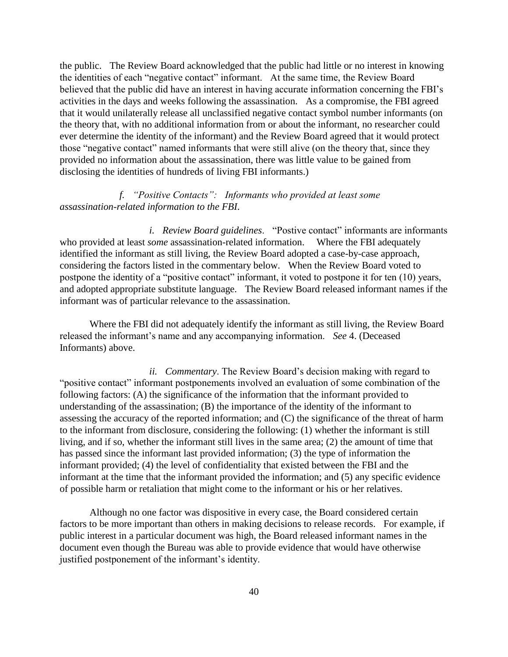the public. The Review Board acknowledged that the public had little or no interest in knowing the identities of each "negative contact" informant. At the same time, the Review Board believed that the public did have an interest in having accurate information concerning the FBI's activities in the days and weeks following the assassination. As a compromise, the FBI agreed that it would unilaterally release all unclassified negative contact symbol number informants (on the theory that, with no additional information from or about the informant, no researcher could ever determine the identity of the informant) and the Review Board agreed that it would protect those "negative contact" named informants that were still alive (on the theory that, since they provided no information about the assassination, there was little value to be gained from disclosing the identities of hundreds of living FBI informants.)

# *f. "Positive Contacts": Informants who provided at least some assassination-related information to the FBI*.

*i. Review Board guidelines*. "Postive contact" informants are informants who provided at least *some* assassination-related information. Where the FBI adequately identified the informant as still living, the Review Board adopted a case-by-case approach, considering the factors listed in the commentary below. When the Review Board voted to postpone the identity of a "positive contact" informant, it voted to postpone it for ten (10) years, and adopted appropriate substitute language. The Review Board released informant names if the informant was of particular relevance to the assassination.

Where the FBI did not adequately identify the informant as still living, the Review Board released the informant's name and any accompanying information. *See* 4. (Deceased Informants) above.

*ii. Commentary*. The Review Board's decision making with regard to "positive contact" informant postponements involved an evaluation of some combination of the following factors: (A) the significance of the information that the informant provided to understanding of the assassination; (B) the importance of the identity of the informant to assessing the accuracy of the reported information; and (C) the significance of the threat of harm to the informant from disclosure, considering the following: (1) whether the informant is still living, and if so, whether the informant still lives in the same area; (2) the amount of time that has passed since the informant last provided information; (3) the type of information the informant provided; (4) the level of confidentiality that existed between the FBI and the informant at the time that the informant provided the information; and (5) any specific evidence of possible harm or retaliation that might come to the informant or his or her relatives.

Although no one factor was dispositive in every case, the Board considered certain factors to be more important than others in making decisions to release records. For example, if public interest in a particular document was high, the Board released informant names in the document even though the Bureau was able to provide evidence that would have otherwise justified postponement of the informant's identity.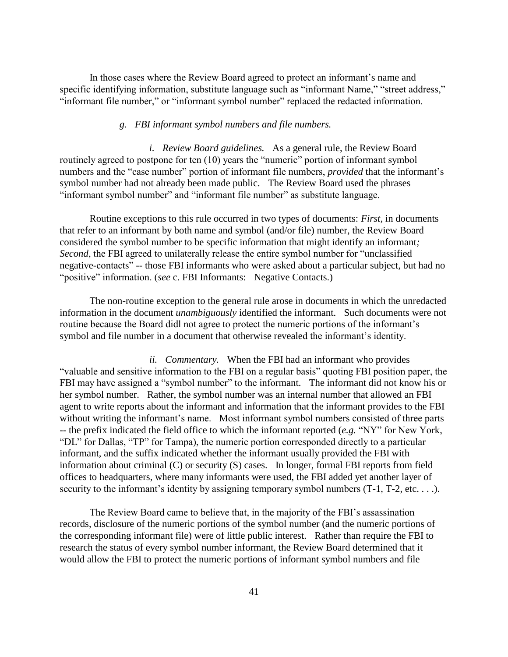In those cases where the Review Board agreed to protect an informant's name and specific identifying information, substitute language such as "informant Name," "street address," "informant file number," or "informant symbol number" replaced the redacted information.

### *g. FBI informant symbol numbers and file numbers.*

*i. Review Board guidelines.* As a general rule, the Review Board routinely agreed to postpone for ten (10) years the "numeric" portion of informant symbol numbers and the "case number" portion of informant file numbers, *provided* that the informant's symbol number had not already been made public. The Review Board used the phrases "informant symbol number" and "informant file number" as substitute language.

Routine exceptions to this rule occurred in two types of documents: *First,* in documents that refer to an informant by both name and symbol (and/or file) number, the Review Board considered the symbol number to be specific information that might identify an informant*; Second*, the FBI agreed to unilaterally release the entire symbol number for "unclassified" negative-contacts" -- those FBI informants who were asked about a particular subject, but had no "positive" information. (*see* c. FBI Informants: Negative Contacts.)

The non-routine exception to the general rule arose in documents in which the unredacted information in the document *unambiguously* identified the informant. Such documents were not routine because the Board didl not agree to protect the numeric portions of the informant's symbol and file number in a document that otherwise revealed the informant's identity.

*ii. Commentary.* When the FBI had an informant who provides "valuable and sensitive information to the FBI on a regular basis" quoting FBI position paper, the FBI may have assigned a "symbol number" to the informant. The informant did not know his or her symbol number. Rather, the symbol number was an internal number that allowed an FBI agent to write reports about the informant and information that the informant provides to the FBI without writing the informant's name. Most informant symbol numbers consisted of three parts -- the prefix indicated the field office to which the informant reported (*e.g.* "NY" for New York, "DL" for Dallas, "TP" for Tampa), the numeric portion corresponded directly to a particular informant, and the suffix indicated whether the informant usually provided the FBI with information about criminal (C) or security (S) cases. In longer, formal FBI reports from field offices to headquarters, where many informants were used, the FBI added yet another layer of security to the informant's identity by assigning temporary symbol numbers  $(T-1, T-2, etc. ...)$ .

The Review Board came to believe that, in the majority of the FBI's assassination records, disclosure of the numeric portions of the symbol number (and the numeric portions of the corresponding informant file) were of little public interest. Rather than require the FBI to research the status of every symbol number informant, the Review Board determined that it would allow the FBI to protect the numeric portions of informant symbol numbers and file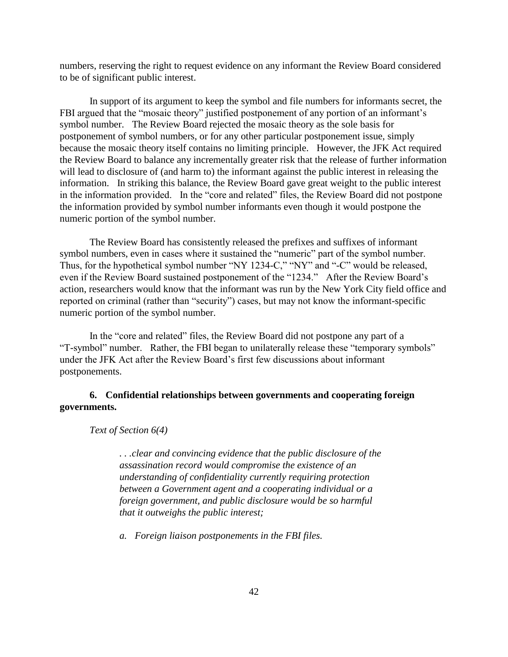numbers, reserving the right to request evidence on any informant the Review Board considered to be of significant public interest.

In support of its argument to keep the symbol and file numbers for informants secret, the FBI argued that the "mosaic theory" justified postponement of any portion of an informant's symbol number. The Review Board rejected the mosaic theory as the sole basis for postponement of symbol numbers, or for any other particular postponement issue, simply because the mosaic theory itself contains no limiting principle. However, the JFK Act required the Review Board to balance any incrementally greater risk that the release of further information will lead to disclosure of (and harm to) the informant against the public interest in releasing the information. In striking this balance, the Review Board gave great weight to the public interest in the information provided. In the "core and related" files, the Review Board did not postpone the information provided by symbol number informants even though it would postpone the numeric portion of the symbol number.

The Review Board has consistently released the prefixes and suffixes of informant symbol numbers, even in cases where it sustained the "numeric" part of the symbol number. Thus, for the hypothetical symbol number "NY 1234-C," "NY" and "-C" would be released, even if the Review Board sustained postponement of the "1234." After the Review Board's action, researchers would know that the informant was run by the New York City field office and reported on criminal (rather than "security") cases, but may not know the informant-specific numeric portion of the symbol number.

In the "core and related" files, the Review Board did not postpone any part of a "T-symbol" number. Rather, the FBI began to unilaterally release these "temporary symbols" under the JFK Act after the Review Board's first few discussions about informant postponements.

# **6. Confidential relationships between governments and cooperating foreign governments.**

### *Text of Section 6(4)*

*. . .clear and convincing evidence that the public disclosure of the assassination record would compromise the existence of an understanding of confidentiality currently requiring protection between a Government agent and a cooperating individual or a foreign government, and public disclosure would be so harmful that it outweighs the public interest;*

*a. Foreign liaison postponements in the FBI files.*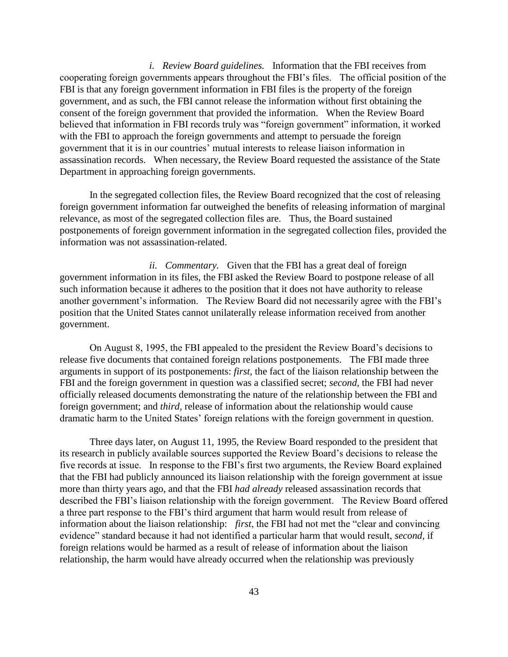*i. Review Board guidelines.* Information that the FBI receives from cooperating foreign governments appears throughout the FBI's files. The official position of the FBI is that any foreign government information in FBI files is the property of the foreign government, and as such, the FBI cannot release the information without first obtaining the consent of the foreign government that provided the information. When the Review Board believed that information in FBI records truly was "foreign government" information, it worked with the FBI to approach the foreign governments and attempt to persuade the foreign government that it is in our countries' mutual interests to release liaison information in assassination records. When necessary, the Review Board requested the assistance of the State Department in approaching foreign governments.

In the segregated collection files, the Review Board recognized that the cost of releasing foreign government information far outweighed the benefits of releasing information of marginal relevance, as most of the segregated collection files are. Thus, the Board sustained postponements of foreign government information in the segregated collection files, provided the information was not assassination-related.

*ii. Commentary.* Given that the FBI has a great deal of foreign government information in its files, the FBI asked the Review Board to postpone release of all such information because it adheres to the position that it does not have authority to release another government's information. The Review Board did not necessarily agree with the FBI's position that the United States cannot unilaterally release information received from another government.

On August 8, 1995, the FBI appealed to the president the Review Board's decisions to release five documents that contained foreign relations postponements. The FBI made three arguments in support of its postponements: *first,* the fact of the liaison relationship between the FBI and the foreign government in question was a classified secret; *second,* the FBI had never officially released documents demonstrating the nature of the relationship between the FBI and foreign government; and *third,* release of information about the relationship would cause dramatic harm to the United States' foreign relations with the foreign government in question.

Three days later, on August 11, 1995, the Review Board responded to the president that its research in publicly available sources supported the Review Board's decisions to release the five records at issue. In response to the FBI's first two arguments, the Review Board explained that the FBI had publicly announced its liaison relationship with the foreign government at issue more than thirty years ago, and that the FBI *had already* released assassination records that described the FBI's liaison relationship with the foreign government. The Review Board offered a three part response to the FBI's third argument that harm would result from release of information about the liaison relationship: *first*, the FBI had not met the "clear and convincing evidence" standard because it had not identified a particular harm that would result, *second,* if foreign relations would be harmed as a result of release of information about the liaison relationship, the harm would have already occurred when the relationship was previously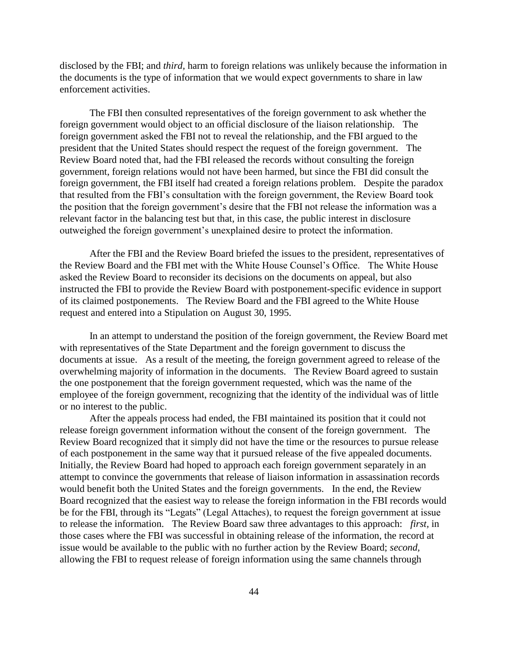disclosed by the FBI; and *third,* harm to foreign relations was unlikely because the information in the documents is the type of information that we would expect governments to share in law enforcement activities.

The FBI then consulted representatives of the foreign government to ask whether the foreign government would object to an official disclosure of the liaison relationship. The foreign government asked the FBI not to reveal the relationship, and the FBI argued to the president that the United States should respect the request of the foreign government. The Review Board noted that, had the FBI released the records without consulting the foreign government, foreign relations would not have been harmed, but since the FBI did consult the foreign government, the FBI itself had created a foreign relations problem. Despite the paradox that resulted from the FBI's consultation with the foreign government, the Review Board took the position that the foreign government's desire that the FBI not release the information was a relevant factor in the balancing test but that, in this case, the public interest in disclosure outweighed the foreign government's unexplained desire to protect the information.

After the FBI and the Review Board briefed the issues to the president, representatives of the Review Board and the FBI met with the White House Counsel's Office. The White House asked the Review Board to reconsider its decisions on the documents on appeal, but also instructed the FBI to provide the Review Board with postponement-specific evidence in support of its claimed postponements. The Review Board and the FBI agreed to the White House request and entered into a Stipulation on August 30, 1995.

In an attempt to understand the position of the foreign government, the Review Board met with representatives of the State Department and the foreign government to discuss the documents at issue. As a result of the meeting, the foreign government agreed to release of the overwhelming majority of information in the documents. The Review Board agreed to sustain the one postponement that the foreign government requested, which was the name of the employee of the foreign government, recognizing that the identity of the individual was of little or no interest to the public.

After the appeals process had ended, the FBI maintained its position that it could not release foreign government information without the consent of the foreign government. The Review Board recognized that it simply did not have the time or the resources to pursue release of each postponement in the same way that it pursued release of the five appealed documents. Initially, the Review Board had hoped to approach each foreign government separately in an attempt to convince the governments that release of liaison information in assassination records would benefit both the United States and the foreign governments. In the end, the Review Board recognized that the easiest way to release the foreign information in the FBI records would be for the FBI, through its "Legats" (Legal Attaches), to request the foreign government at issue to release the information. The Review Board saw three advantages to this approach: *first,* in those cases where the FBI was successful in obtaining release of the information, the record at issue would be available to the public with no further action by the Review Board; *second,* allowing the FBI to request release of foreign information using the same channels through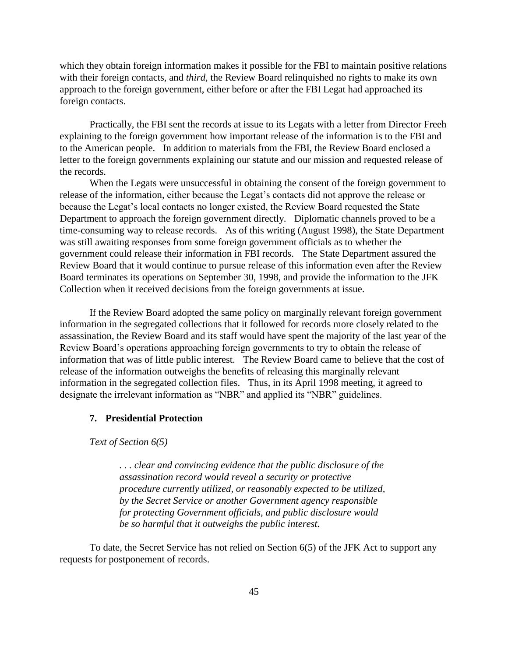which they obtain foreign information makes it possible for the FBI to maintain positive relations with their foreign contacts, and *third,* the Review Board relinquished no rights to make its own approach to the foreign government, either before or after the FBI Legat had approached its foreign contacts.

Practically, the FBI sent the records at issue to its Legats with a letter from Director Freeh explaining to the foreign government how important release of the information is to the FBI and to the American people. In addition to materials from the FBI, the Review Board enclosed a letter to the foreign governments explaining our statute and our mission and requested release of the records.

When the Legats were unsuccessful in obtaining the consent of the foreign government to release of the information, either because the Legat's contacts did not approve the release or because the Legat's local contacts no longer existed, the Review Board requested the State Department to approach the foreign government directly. Diplomatic channels proved to be a time-consuming way to release records. As of this writing (August 1998), the State Department was still awaiting responses from some foreign government officials as to whether the government could release their information in FBI records. The State Department assured the Review Board that it would continue to pursue release of this information even after the Review Board terminates its operations on September 30, 1998, and provide the information to the JFK Collection when it received decisions from the foreign governments at issue.

If the Review Board adopted the same policy on marginally relevant foreign government information in the segregated collections that it followed for records more closely related to the assassination, the Review Board and its staff would have spent the majority of the last year of the Review Board's operations approaching foreign governments to try to obtain the release of information that was of little public interest. The Review Board came to believe that the cost of release of the information outweighs the benefits of releasing this marginally relevant information in the segregated collection files. Thus, in its April 1998 meeting, it agreed to designate the irrelevant information as "NBR" and applied its "NBR" guidelines.

#### **7. Presidential Protection**

*Text of Section 6(5)*

*. . . clear and convincing evidence that the public disclosure of the assassination record would reveal a security or protective procedure currently utilized, or reasonably expected to be utilized, by the Secret Service or another Government agency responsible for protecting Government officials, and public disclosure would be so harmful that it outweighs the public interest.*

To date, the Secret Service has not relied on Section 6(5) of the JFK Act to support any requests for postponement of records.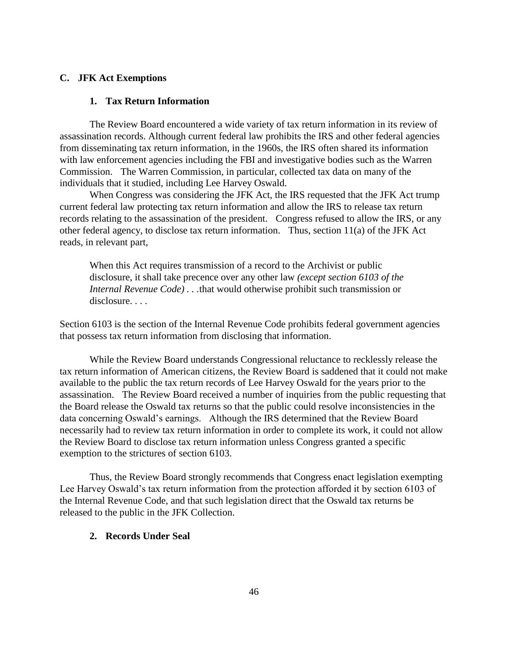# **C. JFK Act Exemptions**

### **1. Tax Return Information**

The Review Board encountered a wide variety of tax return information in its review of assassination records. Although current federal law prohibits the IRS and other federal agencies from disseminating tax return information, in the 1960s, the IRS often shared its information with law enforcement agencies including the FBI and investigative bodies such as the Warren Commission. The Warren Commission, in particular, collected tax data on many of the individuals that it studied, including Lee Harvey Oswald.

When Congress was considering the JFK Act, the IRS requested that the JFK Act trump current federal law protecting tax return information and allow the IRS to release tax return records relating to the assassination of the president. Congress refused to allow the IRS, or any other federal agency, to disclose tax return information. Thus, section 11(a) of the JFK Act reads, in relevant part,

When this Act requires transmission of a record to the Archivist or public disclosure, it shall take precence over any other law *(except section 6103 of the Internal Revenue Code) . . .*that would otherwise prohibit such transmission or disclosure...

Section 6103 is the section of the Internal Revenue Code prohibits federal government agencies that possess tax return information from disclosing that information.

While the Review Board understands Congressional reluctance to recklessly release the tax return information of American citizens, the Review Board is saddened that it could not make available to the public the tax return records of Lee Harvey Oswald for the years prior to the assassination. The Review Board received a number of inquiries from the public requesting that the Board release the Oswald tax returns so that the public could resolve inconsistencies in the data concerning Oswald's earnings. Although the IRS determined that the Review Board necessarily had to review tax return information in order to complete its work, it could not allow the Review Board to disclose tax return information unless Congress granted a specific exemption to the strictures of section 6103.

Thus, the Review Board strongly recommends that Congress enact legislation exempting Lee Harvey Oswald's tax return information from the protection afforded it by section 6103 of the Internal Revenue Code, and that such legislation direct that the Oswald tax returns be released to the public in the JFK Collection.

### **2. Records Under Seal**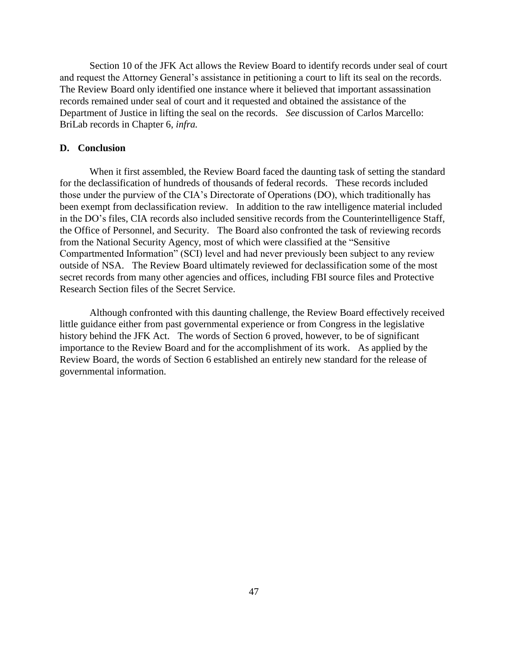Section 10 of the JFK Act allows the Review Board to identify records under seal of court and request the Attorney General's assistance in petitioning a court to lift its seal on the records. The Review Board only identified one instance where it believed that important assassination records remained under seal of court and it requested and obtained the assistance of the Department of Justice in lifting the seal on the records. *See* discussion of Carlos Marcello: BriLab records in Chapter 6, *infra.*

### **D. Conclusion**

When it first assembled, the Review Board faced the daunting task of setting the standard for the declassification of hundreds of thousands of federal records. These records included those under the purview of the CIA's Directorate of Operations (DO), which traditionally has been exempt from declassification review. In addition to the raw intelligence material included in the DO's files, CIA records also included sensitive records from the Counterintelligence Staff, the Office of Personnel, and Security. The Board also confronted the task of reviewing records from the National Security Agency, most of which were classified at the "Sensitive Compartmented Information" (SCI) level and had never previously been subject to any review outside of NSA. The Review Board ultimately reviewed for declassification some of the most secret records from many other agencies and offices, including FBI source files and Protective Research Section files of the Secret Service.

Although confronted with this daunting challenge, the Review Board effectively received little guidance either from past governmental experience or from Congress in the legislative history behind the JFK Act. The words of Section 6 proved, however, to be of significant importance to the Review Board and for the accomplishment of its work. As applied by the Review Board, the words of Section 6 established an entirely new standard for the release of governmental information.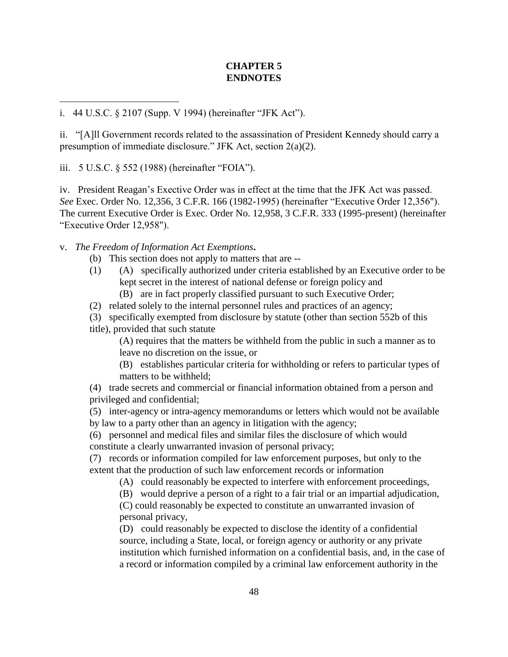# **CHAPTER 5 ENDNOTES**

i. 44 U.S.C. § 2107 (Supp. V 1994) (hereinafter "JFK Act").

ii. "[A]ll Government records related to the assassination of President Kennedy should carry a presumption of immediate disclosure." JFK Act, section 2(a)(2).

iii. 5 U.S.C. § 552 (1988) (hereinafter "FOIA").

 $\overline{a}$ 

iv. President Reagan's Exective Order was in effect at the time that the JFK Act was passed. *See* Exec. Order No. 12,356, 3 C.F.R. 166 (1982-1995) (hereinafter "Executive Order 12,356"). The current Executive Order is Exec. Order No. 12,958, 3 C.F.R. 333 (1995-present) (hereinafter "Executive Order 12,958").

v. *The Freedom of Information Act Exemptions***.**

- (b) This section does not apply to matters that are --
- (1) (A) specifically authorized under criteria established by an Executive order to be kept secret in the interest of national defense or foreign policy and
	- (B) are in fact properly classified pursuant to such Executive Order;
- (2) related solely to the internal personnel rules and practices of an agency;

(3) specifically exempted from disclosure by statute (other than section 552b of this title), provided that such statute

(A) requires that the matters be withheld from the public in such a manner as to leave no discretion on the issue, or

 (B) establishes particular criteria for withholding or refers to particular types of matters to be withheld;

(4) trade secrets and commercial or financial information obtained from a person and privileged and confidential;

(5) inter-agency or intra-agency memorandums or letters which would not be available by law to a party other than an agency in litigation with the agency;

(6) personnel and medical files and similar files the disclosure of which would constitute a clearly unwarranted invasion of personal privacy;

(7) records or information compiled for law enforcement purposes, but only to the extent that the production of such law enforcement records or information

(A) could reasonably be expected to interfere with enforcement proceedings,

(B) would deprive a person of a right to a fair trial or an impartial adjudication,

(C) could reasonably be expected to constitute an unwarranted invasion of personal privacy,

(D) could reasonably be expected to disclose the identity of a confidential source, including a State, local, or foreign agency or authority or any private institution which furnished information on a confidential basis, and, in the case of a record or information compiled by a criminal law enforcement authority in the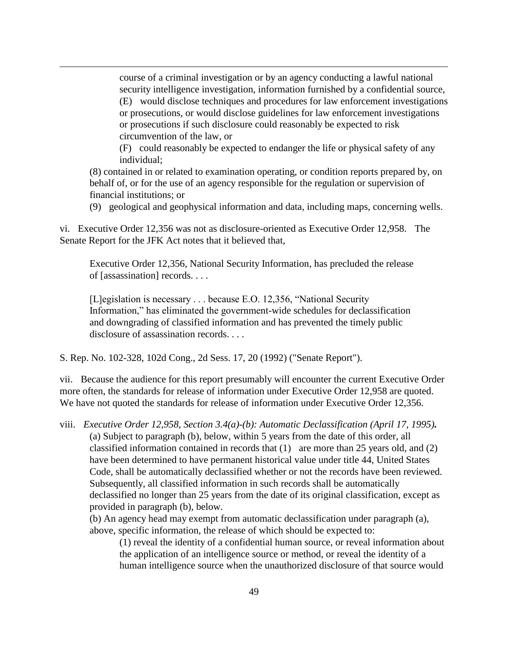course of a criminal investigation or by an agency conducting a lawful national security intelligence investigation, information furnished by a confidential source,

(E) would disclose techniques and procedures for law enforcement investigations or prosecutions, or would disclose guidelines for law enforcement investigations or prosecutions if such disclosure could reasonably be expected to risk circumvention of the law, or

(F) could reasonably be expected to endanger the life or physical safety of any individual;

(8) contained in or related to examination operating, or condition reports prepared by, on behalf of, or for the use of an agency responsible for the regulation or supervision of financial institutions; or

(9) geological and geophysical information and data, including maps, concerning wells.

vi. Executive Order 12,356 was not as disclosure-oriented as Executive Order 12,958. The Senate Report for the JFK Act notes that it believed that,

Executive Order 12,356, National Security Information, has precluded the release of [assassination] records. . . .

[L]egislation is necessary . . . because E.O. 12,356, "National Security Information," has eliminated the government-wide schedules for declassification and downgrading of classified information and has prevented the timely public disclosure of assassination records....

S. Rep. No. 102-328, 102d Cong., 2d Sess. 17, 20 (1992) ("Senate Report").

 $\overline{a}$ 

vii. Because the audience for this report presumably will encounter the current Executive Order more often, the standards for release of information under Executive Order 12,958 are quoted. We have not quoted the standards for release of information under Executive Order 12,356.

viii. *Executive Order 12,958, Section 3.4(a)-(b): Automatic Declassification (April 17, 1995).* (a) Subject to paragraph (b), below, within 5 years from the date of this order, all classified information contained in records that (1) are more than 25 years old, and (2) have been determined to have permanent historical value under title 44, United States Code, shall be automatically declassified whether or not the records have been reviewed. Subsequently, all classified information in such records shall be automatically declassified no longer than 25 years from the date of its original classification, except as provided in paragraph (b), below.

(b) An agency head may exempt from automatic declassification under paragraph (a), above, specific information, the release of which should be expected to:

(1) reveal the identity of a confidential human source, or reveal information about the application of an intelligence source or method, or reveal the identity of a human intelligence source when the unauthorized disclosure of that source would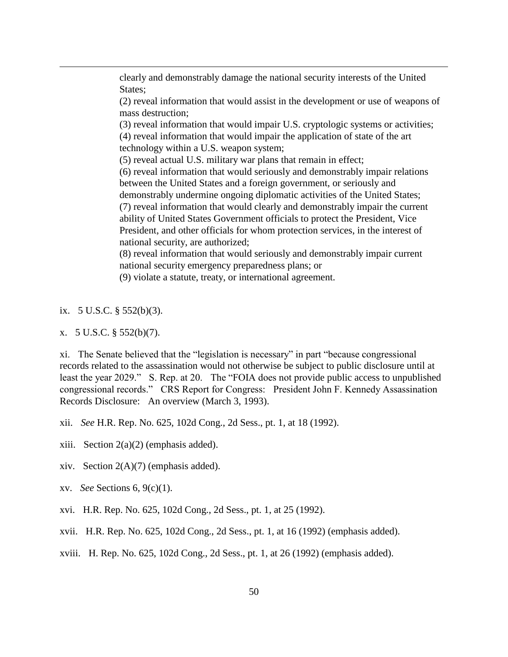clearly and demonstrably damage the national security interests of the United States;

(2) reveal information that would assist in the development or use of weapons of mass destruction;

(3) reveal information that would impair U.S. cryptologic systems or activities; (4) reveal information that would impair the application of state of the art technology within a U.S. weapon system;

(5) reveal actual U.S. military war plans that remain in effect;

(6) reveal information that would seriously and demonstrably impair relations between the United States and a foreign government, or seriously and demonstrably undermine ongoing diplomatic activities of the United States; (7) reveal information that would clearly and demonstrably impair the current ability of United States Government officials to protect the President, Vice President, and other officials for whom protection services, in the interest of national security, are authorized;

(8) reveal information that would seriously and demonstrably impair current national security emergency preparedness plans; or

(9) violate a statute, treaty, or international agreement.

ix.  $5 \text{ U.S.C. }$ §  $552(b)(3)$ .

 $\overline{a}$ 

x. 5 U.S.C. § 552(b)(7).

xi. The Senate believed that the "legislation is necessary" in part "because congressional records related to the assassination would not otherwise be subject to public disclosure until at least the year 2029." S. Rep. at 20. The "FOIA does not provide public access to unpublished congressional records." CRS Report for Congress: President John F. Kennedy Assassination Records Disclosure: An overview (March 3, 1993).

xii. *See* H.R. Rep. No. 625, 102d Cong., 2d Sess., pt. 1, at 18 (1992).

- xiii. Section  $2(a)(2)$  (emphasis added).
- xiv. Section  $2(A)(7)$  (emphasis added).
- xv. *See* Sections 6, 9(c)(1).
- xvi. H.R. Rep. No. 625, 102d Cong., 2d Sess., pt. 1, at 25 (1992).
- xvii. H.R. Rep. No. 625, 102d Cong., 2d Sess., pt. 1, at 16 (1992) (emphasis added).
- xviii. H. Rep. No. 625, 102d Cong., 2d Sess., pt. 1, at 26 (1992) (emphasis added).